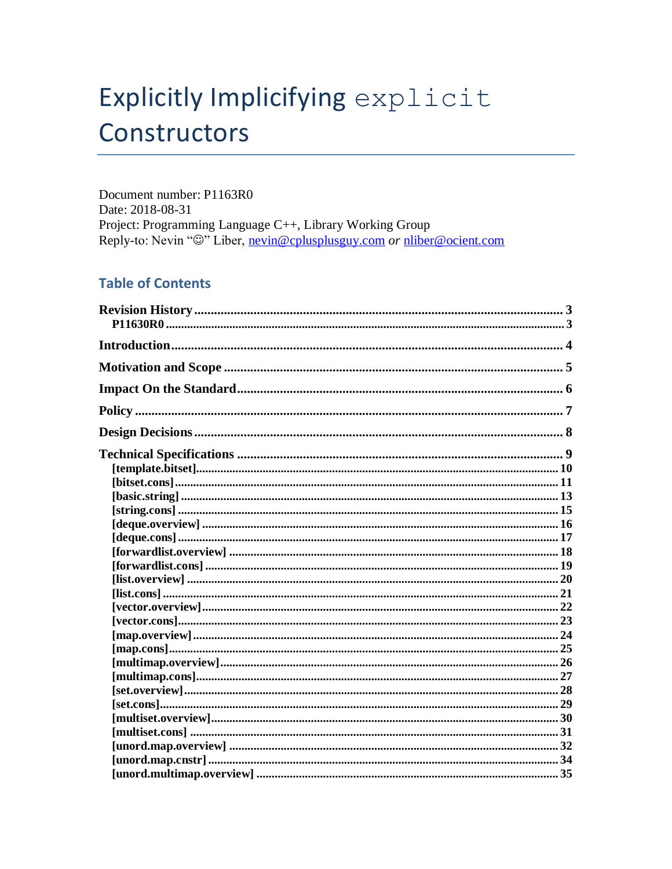# Explicitly Implicifying explicit Constructors

Document number: P1163R0 Date: 2018-08-31 Project: Programming Language C++, Library Working Group Reply-to: Nevin "@" Liber, nevin@cplusplusguy.com or nliber@ocient.com

### **Table of Contents**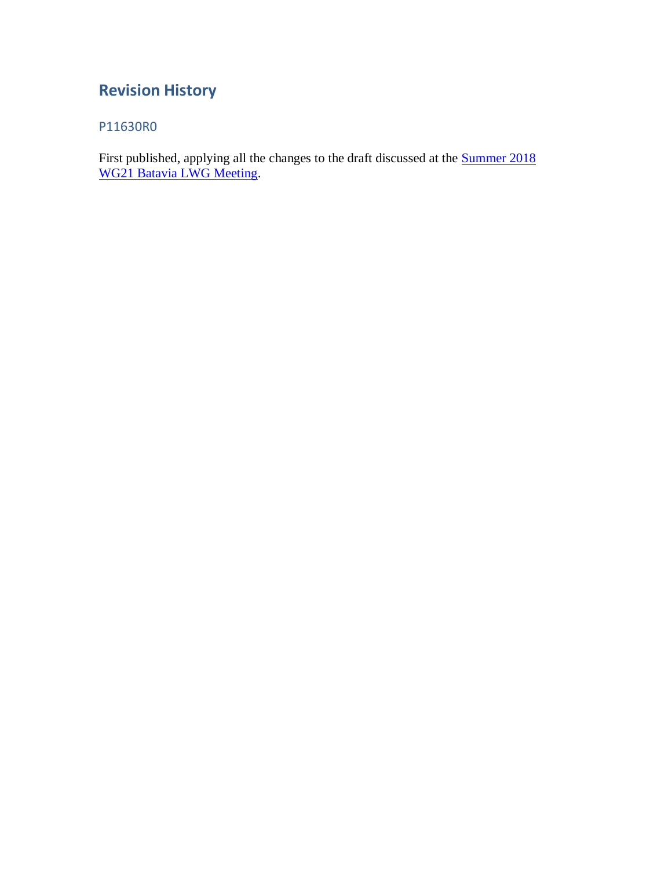# <span id="page-2-0"></span>**Revision History**

### <span id="page-2-1"></span>P11630R0

First published, applying all the changes to the draft discussed at the **Summer 2018** [WG21 Batavia LWG Meeting.](http://wg21.link/p1128)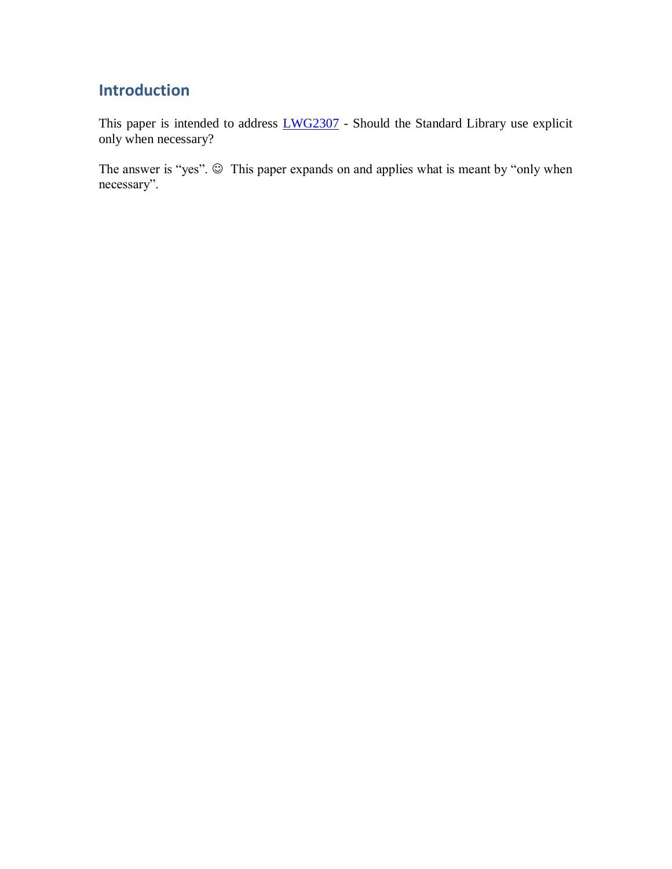# <span id="page-3-0"></span>**Introduction**

This paper is intended to address  $LWG2307$  - Should the Standard Library use explicit only when necessary?

The answer is "yes".  $\odot$  This paper expands on and applies what is meant by "only when necessary".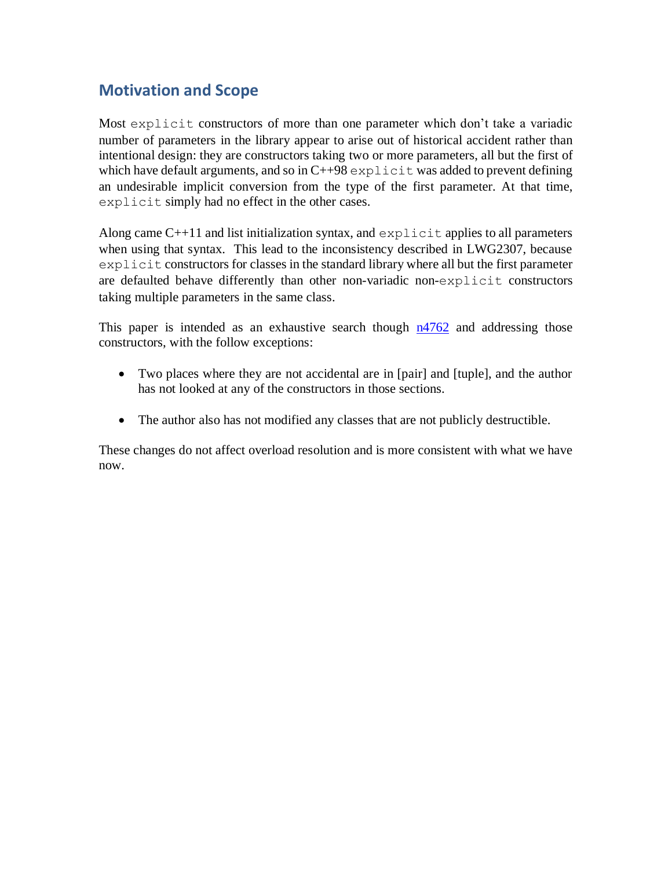### <span id="page-4-0"></span>**Motivation and Scope**

Most explicit constructors of more than one parameter which don't take a variadic number of parameters in the library appear to arise out of historical accident rather than intentional design: they are constructors taking two or more parameters, all but the first of which have default arguments, and so in  $C+98$  explicit was added to prevent defining an undesirable implicit conversion from the type of the first parameter. At that time, explicit simply had no effect in the other cases.

Along came  $C+11$  and list initialization syntax, and explicit applies to all parameters when using that syntax. This lead to the inconsistency described in LWG2307, because explicit constructors for classes in the standard library where all but the first parameter are defaulted behave differently than other non-variadic non-explicit constructors taking multiple parameters in the same class.

This paper is intended as an exhaustive search though  $n4762$  and addressing those constructors, with the follow exceptions:

- Two places where they are not accidental are in [pair] and [tuple], and the author has not looked at any of the constructors in those sections.
- The author also has not modified any classes that are not publicly destructible.

These changes do not affect overload resolution and is more consistent with what we have now.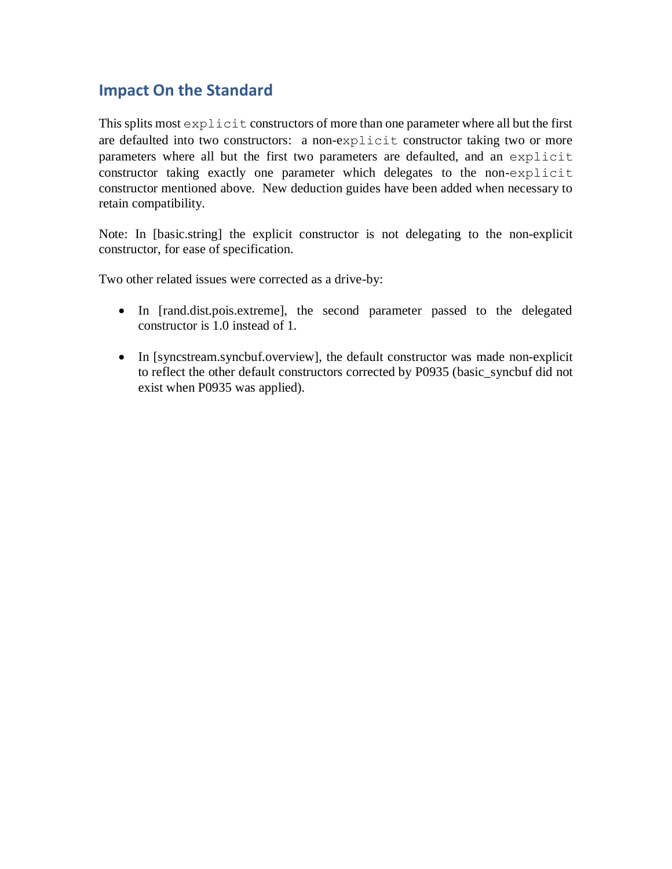### <span id="page-5-0"></span>**Impact On the Standard**

This splits most explicit constructors of more than one parameter where all but the first are defaulted into two constructors: a non-explicit constructor taking two or more parameters where all but the first two parameters are defaulted, and an explicit constructor taking exactly one parameter which delegates to the non-explicit constructor mentioned above. New deduction guides have been added when necessary to retain compatibility.

Note: In [basic.string] the explicit constructor is not delegating to the non-explicit constructor, for ease of specification.

Two other related issues were corrected as a drive-by:

- In [rand.dist.pois.extreme], the second parameter passed to the delegated constructor is 1.0 instead of 1.
- In [syncstream.syncbuf.overview], the default constructor was made non-explicit to reflect the other default constructors corrected by P0935 (basic\_syncbuf did not exist when P0935 was applied).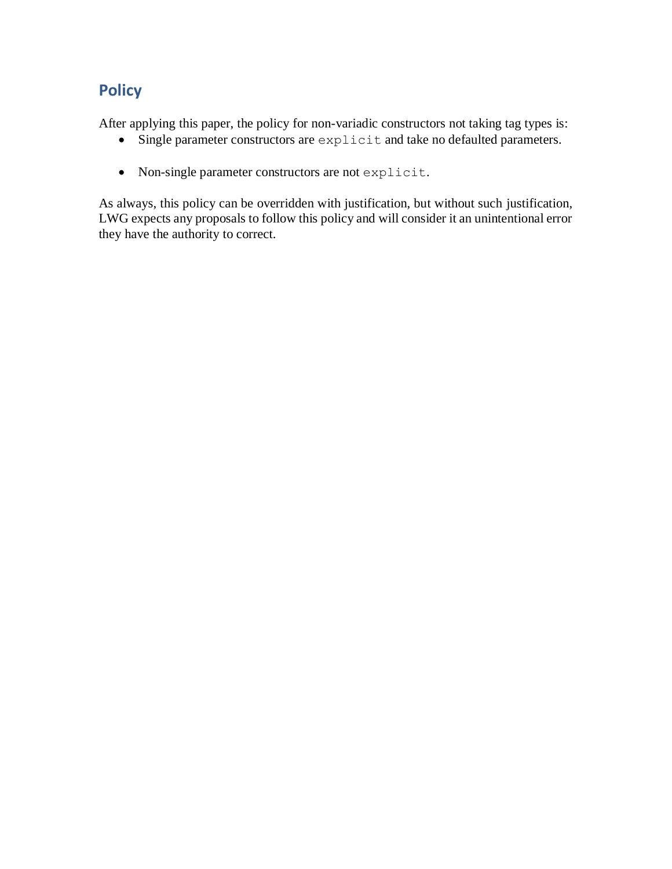# <span id="page-6-0"></span>**Policy**

After applying this paper, the policy for non-variadic constructors not taking tag types is:

- Single parameter constructors are explicit and take no defaulted parameters.
- Non-single parameter constructors are not explicit.

As always, this policy can be overridden with justification, but without such justification, LWG expects any proposals to follow this policy and will consider it an unintentional error they have the authority to correct.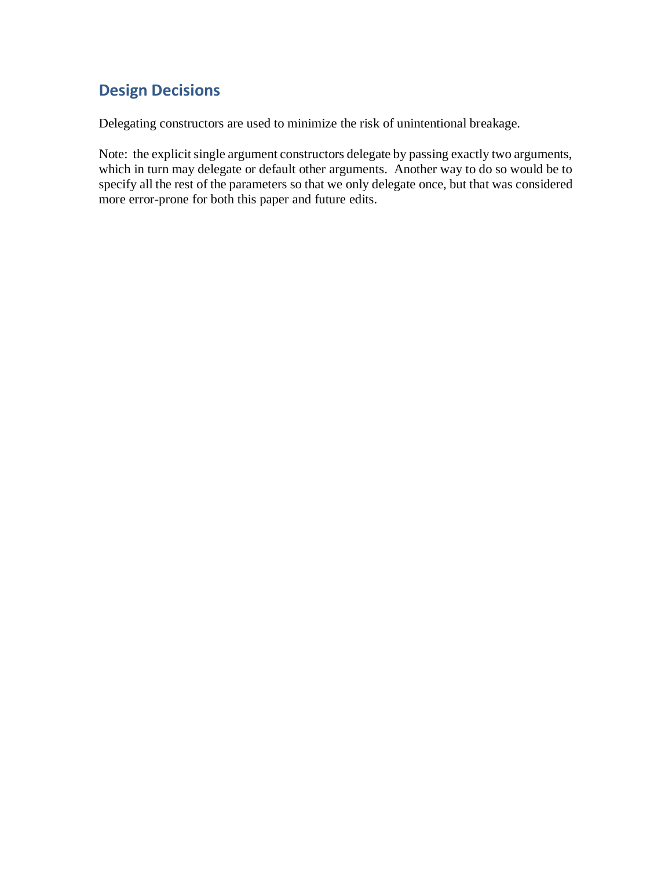# <span id="page-7-0"></span>**Design Decisions**

Delegating constructors are used to minimize the risk of unintentional breakage.

Note: the explicit single argument constructors delegate by passing exactly two arguments, which in turn may delegate or default other arguments. Another way to do so would be to specify all the rest of the parameters so that we only delegate once, but that was considered more error-prone for both this paper and future edits.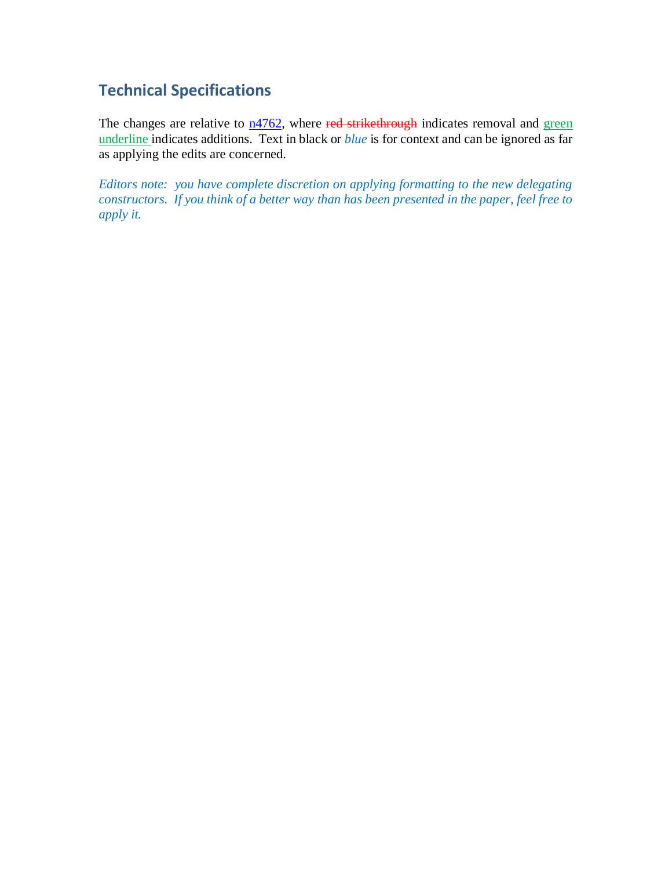## <span id="page-8-0"></span>**Technical Specifications**

The changes are relative to  $n4762$ , where red strikethrough indicates removal and green underline indicates additions. Text in black or *blue* is for context and can be ignored as far as applying the edits are concerned.

*Editors note: you have complete discretion on applying formatting to the new delegating constructors. If you think of a better way than has been presented in the paper, feel free to apply it.*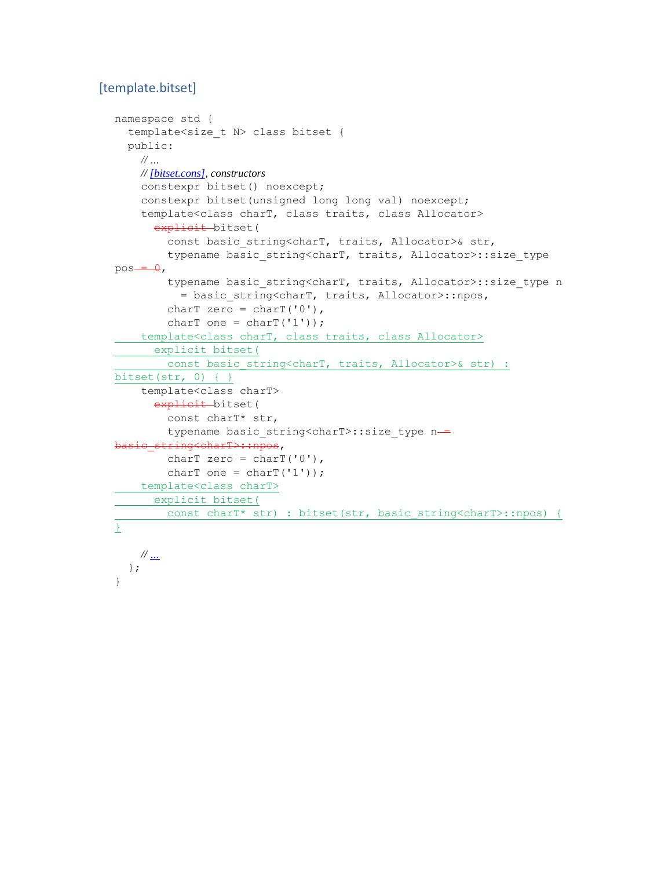### <span id="page-9-0"></span>[template.bitset]

```
namespace std {
   template<size_t N> class bitset {
   public:
    // …
    // [bitset.cons], constructors
     constexpr bitset() noexcept;
     constexpr bitset(unsigned long long val) noexcept;
     template<class charT, class traits, class Allocator>
      explicit-bitset(
        const basic string<charT, traits, Allocator>& str,
        typename basic string<charT, traits, Allocator>::size type
pos - <sub>0</sub>,
        typename basic string<charT, traits, Allocator>::size type n
           = basic_string<charT, traits, Allocator>::npos,
        charT zero = charT('0'),
        charT one = charT('1'));
    template<class charT, class traits, class Allocator>
      explicit bitset(
     const basic string<charT, traits, Allocator>& str) :
bitset(str, 0) { }
     template<class charT>
      explicit bitset(
         const charT* str,
        typename basic string<charT>::size type n-
basic_string<charT>::npos,
        charT zero = charT('0'),
        charT one = charT('1'));
    template<class charT>
     explicit bitset(
     const charT* str) : bitset(str, basic_string<charT>::npos) { 
}
    // …
   };
```
}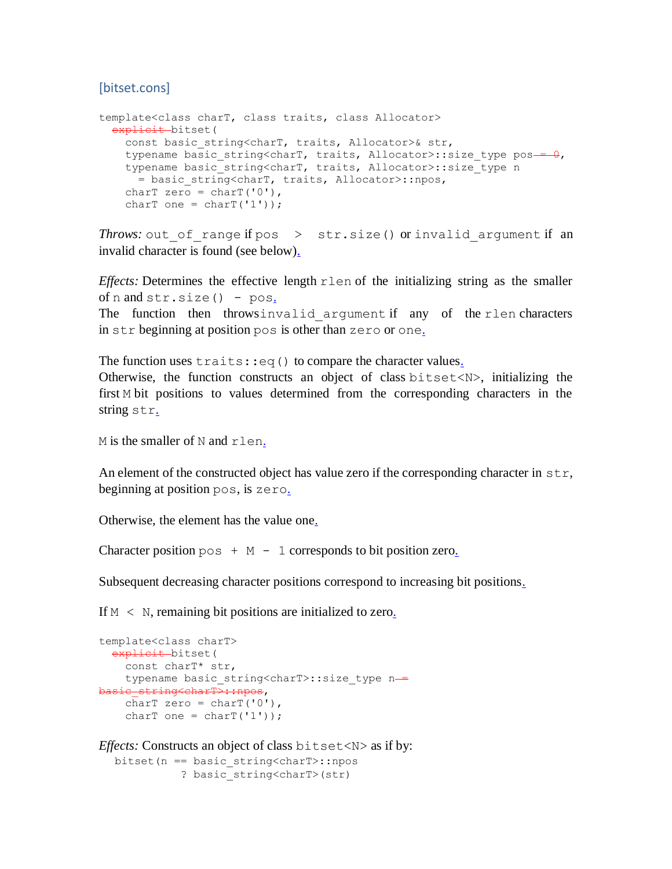#### <span id="page-10-0"></span>[bitset.cons]

```
template<class charT, class traits, class Allocator>
  explicit bitset(
   const basic string<charT, traits, Allocator>& str,
   typename basic string<charT, traits, Allocator>::size type pos - 0,
   typename basic_string<charT, traits, Allocator>::size_type n
      = basic_string<charT, traits, Allocator>::npos,
   charT zero = charT('0');charT one = charT(11));
```
*Throws:* out of range if pos  $>$  str.size() or invalid argument if an invalid character is found (see below[\).](http://eel.is/c++draft/bitset.cons#3.sentence-1)

*Effects:* Determines the effective length rlen of the initializing string as the smaller of  $n$  and  $str.size() - pos.$  $str.size() - pos.$ 

The function then throwsinvalid argument if any of the rlen characters in str beginning at position pos is other than zero or one[.](http://eel.is/c++draft/bitset.cons#4.sentence-2)

The function uses  $\text{trails:}$ :  $\text{eq}(\cdot)$  to compare the character value[s.](http://eel.is/c++draft/bitset.cons#4.sentence-3) Otherwise, the function constructs an object of class bitset<N>, initializing the first M bit positions to values determined from the corresponding characters in the string str[.](http://eel.is/c++draft/bitset.cons#4.sentence-4)

M is the smaller of N and rlen[.](http://eel.is/c++draft/bitset.cons#4.sentence-5)

An element of the constructed object has value zero if the corresponding character in  $str$ . beginning at position pos, is zero[.](http://eel.is/c++draft/bitset.cons#5.sentence-1)

Otherwise, the element has the value on[e.](http://eel.is/c++draft/bitset.cons#5.sentence-2)

Character position  $pos + M - 1$  corresponds to bit position zer[o.](http://eel.is/c++draft/bitset.cons#5.sentence-3)

Subsequent decreasing character positions correspond to increasing bit position[s.](http://eel.is/c++draft/bitset.cons#5.sentence-4)

If  $M \leq N$ , remaining bit positions are initialized to zer[o.](http://eel.is/c++draft/bitset.cons#6.sentence-1)

```
template<class charT>
 explicit bitset (
     const charT* str,
   typename basic string<charT>::size type n-
basic_string<charT>::npos,
   charT zero = charT('0'),
   charT one = charT('1'));
```
*Effects:* Constructs an object of class bitset<N> as if by:

```
bitset(n == basic_string<charT>::npos
          ? basic string<charT>(str)
```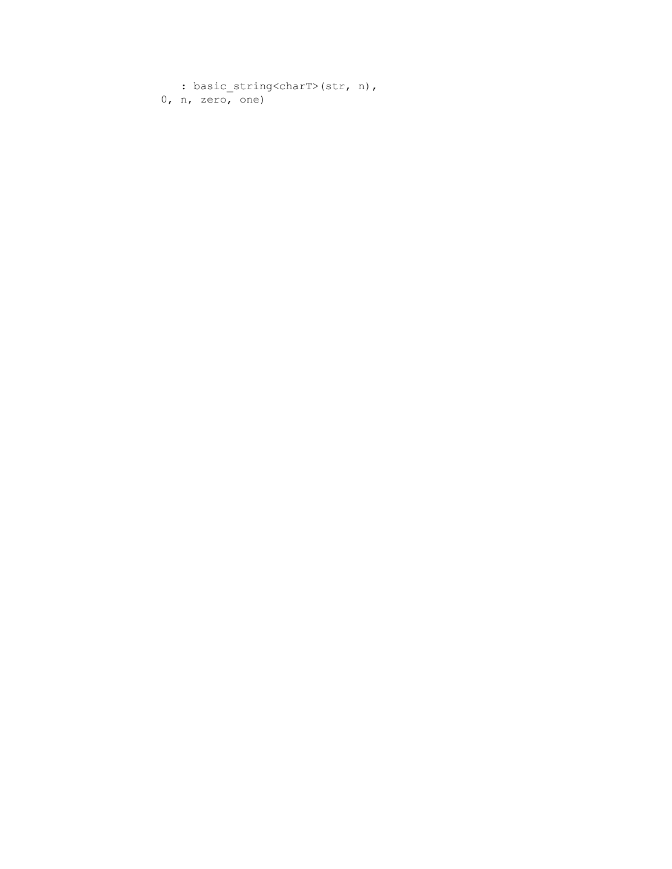```
: basic string<charT>(str, n),
 0, n, zero, one)
```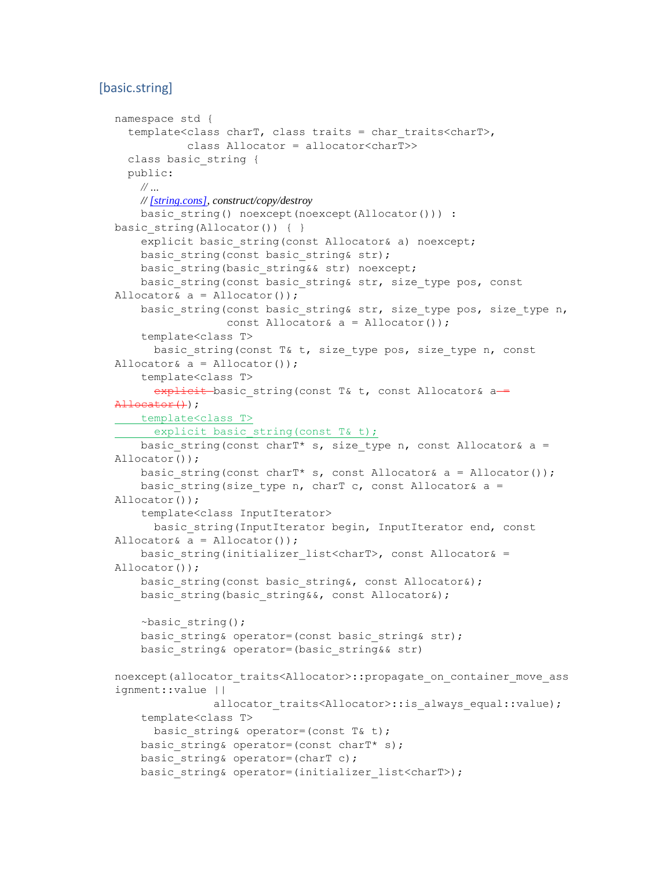#### <span id="page-12-0"></span>[basic.string]

```
namespace std {
   template<class charT, class traits = char_traits<charT>,
            class Allocator = allocator<charT>>
   class basic_string {
   public:
    // …
    // [string.cons], construct/copy/destroy
    basic string() noexcept(noexcept(Allocator())) :
basic string(Allocator()) { }
    explicit basic string(const Allocator& a) noexcept;
    basic string(const basic string& str);
    basic string(basic string&& str) noexcept;
    basic string(const basic string& str, size type pos, const
Allocator& a = Allocator());
    basic string(const basic string& str, size type pos, size type n,
                 const Allocator& a = Allocator());
     template<class T>
     basic string(const T& t, size type pos, size type n, const
Allocator& a = Allocator());
     template<class T>
     explicit basic string(const T& t, const Allocator& a -=
\text{Allocation}(t);
   template<class T>
  explicit basic string(const T& t);
    basic string(const charT* s, size type n, const Allocator& a =
Allocator());
    basic string(const charT* s, const Allocator& a = Allocator());
    basic string(size type n, charT c, const Allocator& a =
Allocator());
     template<class InputIterator>
      basic string(InputIterator begin, InputIterator end, const
Allocator& a = Allocator());
    basic string(initializer list<charT>, const Allocator& =
Allocator());
    basic string(const basic string&, const Allocator&);
    basic string(basic string&&, const Allocator&);
     ~basic_string();
    basic string& operator=(const basic string& str);
     basic_string& operator=(basic_string&& str)
noexcept(allocator traits<Allocator>::propagate on container move ass
ignment::value ||
               allocator traits<Allocator>::is always equal::value);
     template<class T>
     basic string& operator=(const T& t);
    basic string& operator=(const charT* s);
    basic string& operator=(charT c);
    basic string& operator=(initializer list<charT>);
```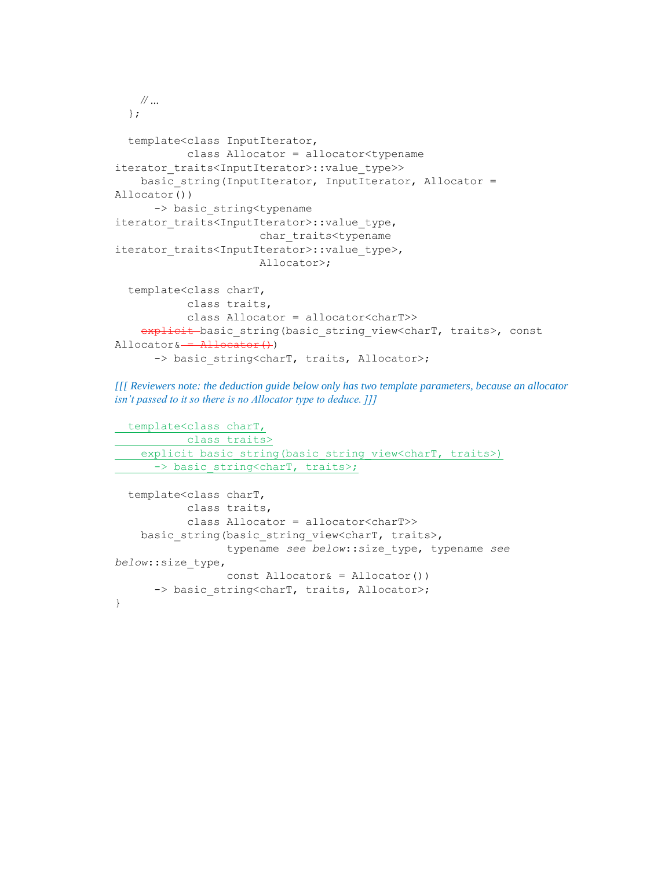```
 // …
   };
   template<class InputIterator,
            class Allocator = allocator<typename 
iterator_traits<InputIterator>::value_type>>
    basic string(InputIterator, InputIterator, Allocator =
Allocator())
       -> basic_string<typename 
iterator traits<InputIterator>::value type,
                         char_traits<typename 
iterator traits<InputIterator>::value type>,
                         Allocator>;
   template<class charT,
            class traits,
             class Allocator = allocator<charT>>
    explicit basic string(basic string view<charT, traits>, const
\text{Allocator} \& \frac{\text{Allocator}}{\text{Allocator}}-> basic string<charT, traits, Allocator>;
```
*[[[ Reviewers note: the deduction guide below only has two template parameters, because an allocator isn't passed to it so there is no Allocator type to deduce. ]]]*

```
 template<class charT,
          class traits>
explicit basic string(basic string view<charT, traits>)
-> basic string<charT, traits>;
template<class charT,
```

```
 class traits,
            class Allocator = allocator<charT>>
    basic string(basic string view<charT, traits>,
                  typename see below::size_type, typename see 
below::size_type,
                  const Allocator& = Allocator())
      -> basic string<charT, traits, Allocator>;
}
```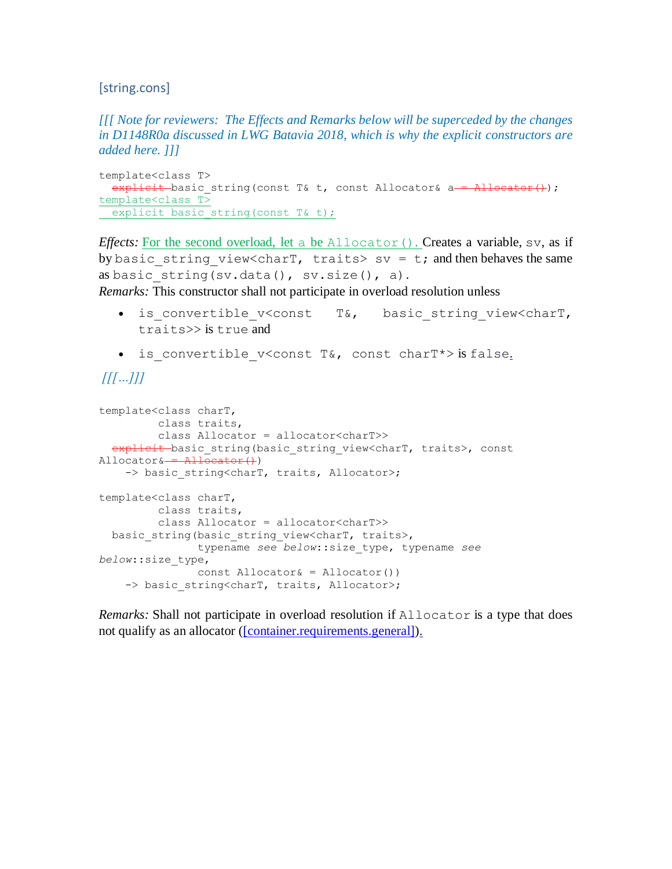#### <span id="page-14-0"></span>[string.cons]

*[[[ Note for reviewers: The Effects and Remarks below will be superceded by the changes in D1148R0a discussed in LWG Batavia 2018, which is why the explicit constructors are added here. ]]]*

```
template<class T>
  explicit basic string(const T& t, const Allocator& a = \frac{\text{Allocator}}{\text{Allocator}}();
template<class T>
  explicit basic string(const T& t);
```
*Effects:* For the second overload, let a be Allocator(). Creates a variable, sv, as if by basic string view<charT, traits> sv = t; and then behaves the same as basic string(sv.data(),  $sv.size()$ , a).

*Remarks:* This constructor shall not participate in overload resolution unless

- is convertible v<const T&, basic string view<charT, traits>> is true and
- is convertible v<const T&, const charT\*> is false.

### *[[[…]]]*

```
template<class charT,
          class traits,
         class Allocator = allocator<charT>>
  explicit basic string(basic string view<charT, traits>, const
\text{Allocator} \& \rightarrow \text{Allocator}()-> basic string<charT, traits, Allocator>;
template<class charT,
          class traits,
          class Allocator = allocator<charT>>
  basic string(basic string view<charT, traits>,
                 typename see below::size_type, typename see 
below::size_type,
                 const Allocator& = Allocator())
    -> basic string<charT, traits, Allocator>;
```
*Remarks:* Shall not participate in overload resolution if Allocator is a type that does not qualify as an allocator [\(\[container.requirements.general\]](http://eel.is/c++draft/container.requirements.general)[\).](http://eel.is/c++draft/string.cons#29.sentence-1)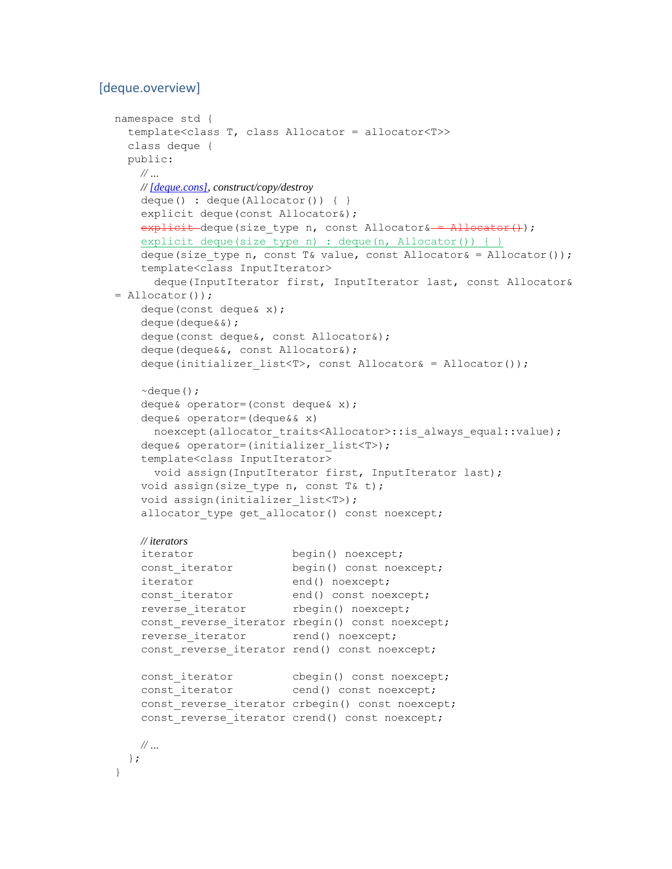#### <span id="page-15-0"></span>[deque.overview]

```
namespace std {
  template<class T, class Allocator = allocator<T>>
  class deque {
  public:
    // …
    // [deque.cons], construct/copy/destroy
    deque() : deque(Allocator()) { }
   explicit deque(const Allocator&);
   explicit deque(size type n, const Allocator& = Allocator());
   explicit deque(size type n) : deque(n, Allocator()) { }
   deque(size type n, const T& value, const Allocator& = Allocator());
    template<class InputIterator>
      deque(InputIterator first, InputIterator last, const Allocator& 
= Allocator());
    deque(const deque& x);
    deque(deque&&);
    deque(const deque&, const Allocator&);
    deque(deque&&, const Allocator&);
   deque(initializer_list<T>, const Allocator& = Allocator());
   \simdeque();
    deque& operator=(const deque& x);
    deque& operator=(deque&& x)
     noexcept(allocator_traits<Allocator>::is_always_equal::value);
   deque& operator=(initializer list<T>);
    template<class InputIterator>
      void assign(InputIterator first, InputIterator last);
   void assign(size type n, const T& t);
   void assign(initializer list<T>);
   allocator type get allocator() const noexcept;
    // iterators
   iterator begin() noexcept;
   const iterator begin() const noexcept;
   iterator end() noexcept;
const iterator end() const noexcept;
reverse iterator begin() noexcept;
   const reverse iterator rbegin() const noexcept;
   reverse iterator rend() noexcept;
   const reverse iterator rend() const noexcept;
   const iterator cbegin() const noexcept;
   const_iterator cend() const noexcept;
   const reverse iterator crbegin() const noexcept;
   const reverse iterator crend() const noexcept;
    // …
  };
}
```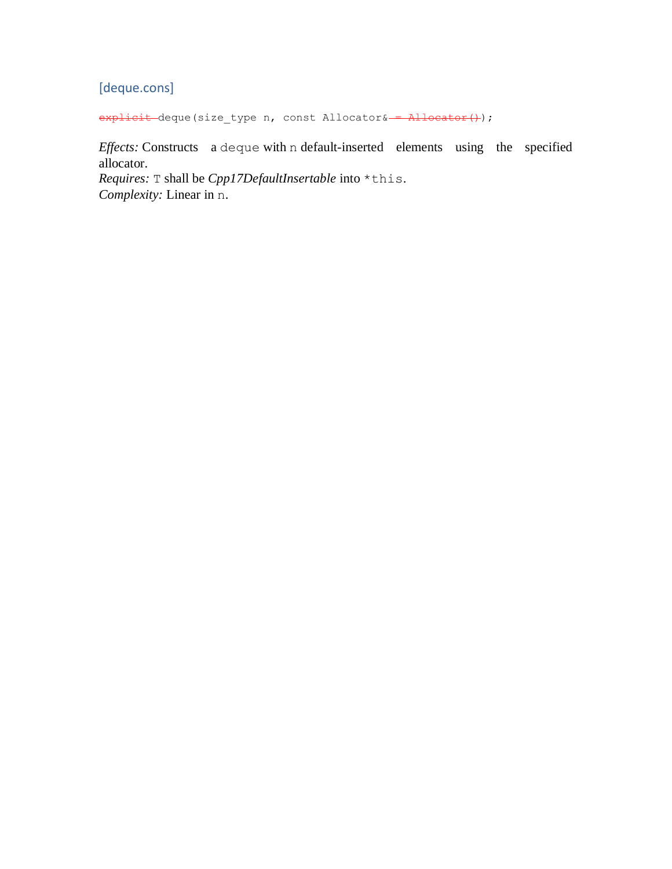### <span id="page-16-0"></span>[deque.cons]

explicit deque(size\_type n, const Allocator& = Allocator();

*Effects:* Constructs a deque with n default-inserted elements using the specified allocator.

*Requires:* T shall be *Cpp17DefaultInsertable* into \*this. *Complexity:* Linear in n.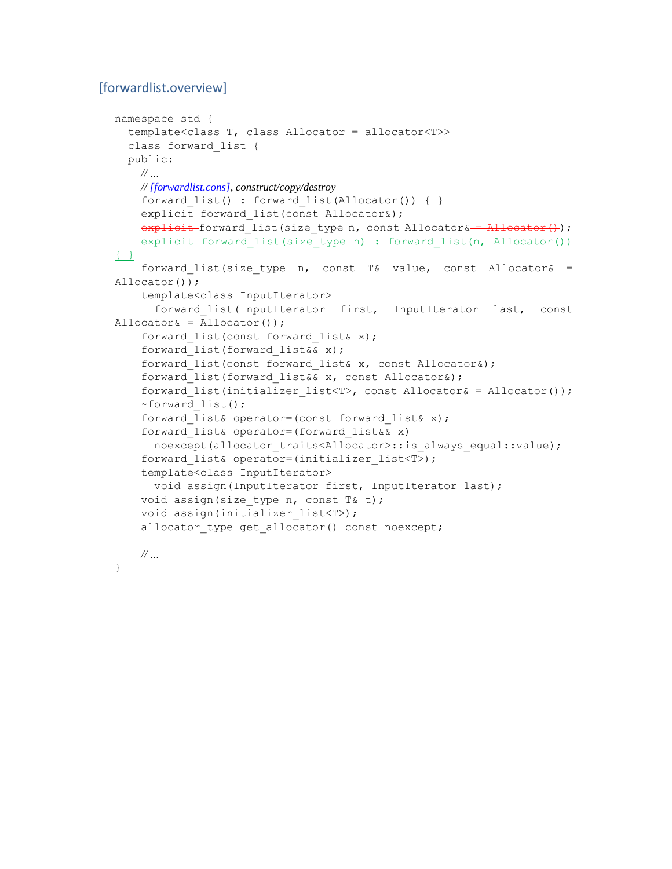#### <span id="page-17-0"></span>[forwardlist.overview]

```
namespace std {
   template<class T, class Allocator = allocator<T>>
   class forward_list {
  public:
    // …
    // [forwardlist.cons], construct/copy/destroy
    forward list() : forward list(Allocator()) { }
    explicit forward list(const Allocator&);
    explicit forward list(size type n, const Allocator& = Allocator();
    explicit forward list(size type n) : forward list(n, Allocator())
{ }
    forward list(size type n, const T& value, const Allocator& =
Allocator());
     template<class InputIterator>
       forward_list(InputIterator first, InputIterator last, const 
Allocator& = Allocator());
     forward_list(const forward_list& x);
     forward_list(forward_list&& x);
    forward list(const forward list& x, const Allocator&);
    forward list(forward list&& x, const Allocator&);
    forward list(initializer list<T>, const Allocator& = Allocator());
     ~forward_list();
    forward list& operator=(const forward list& x);
     forward_list& operator=(forward_list&& x)
      noexcept(allocator_traits<Allocator>::is_always_equal::value);
    forward list& operator=(initializer list<T>);
     template<class InputIterator>
       void assign(InputIterator first, InputIterator last);
    void assign(size type n, const T& t);
    void assign(initializer_list<T>);
    allocator type get allocator() const noexcept;
    // …
```

```
}
```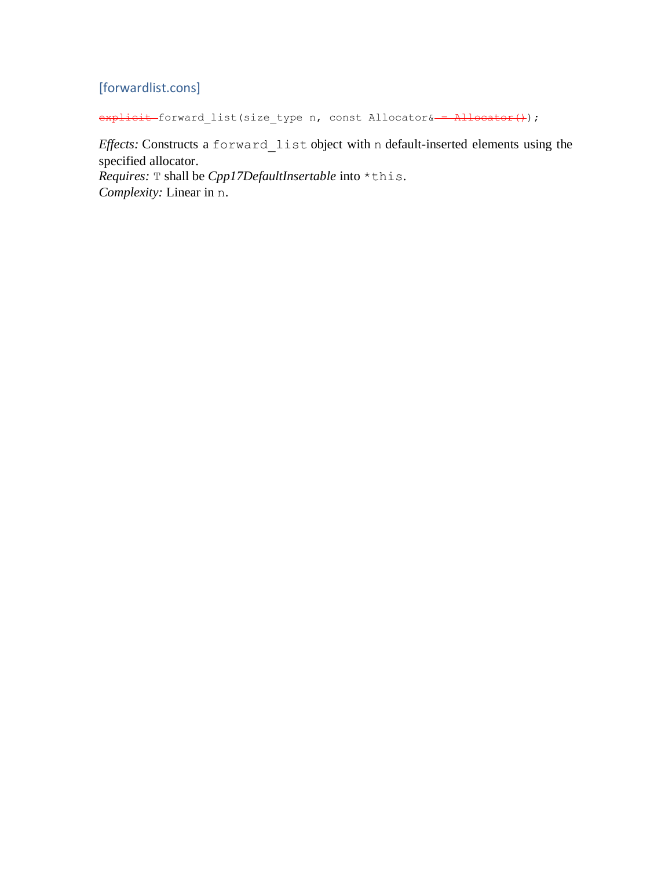### <span id="page-18-0"></span>[forwardlist.cons]

explicit forward\_list(size\_type n, const Allocator& = Allocator());

*Effects:* Constructs a forward\_list object with n default-inserted elements using the specified allocator. *Requires:* T shall be *Cpp17DefaultInsertable* into \*this. *Complexity:* Linear in n.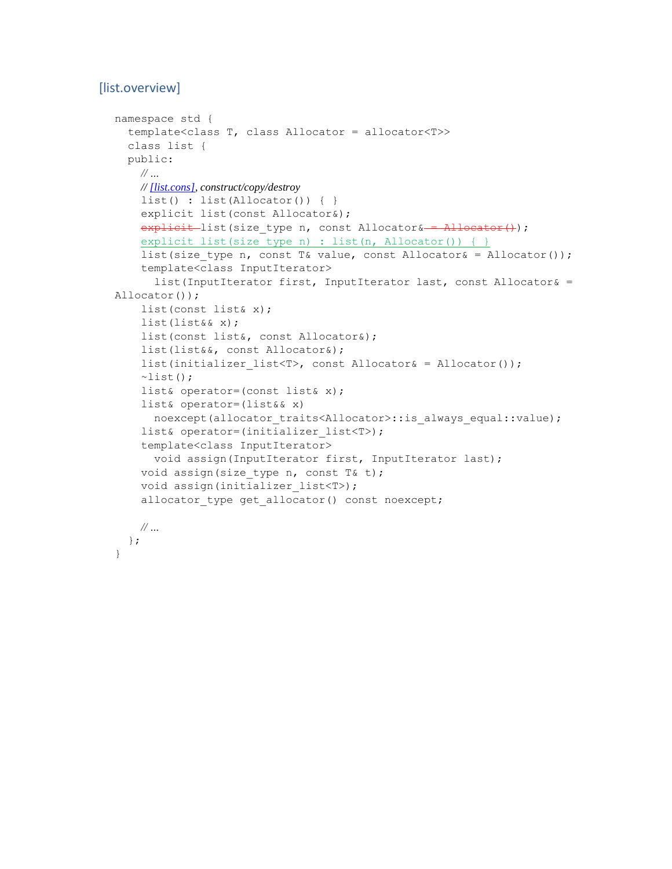#### <span id="page-19-0"></span>[list.overview]

```
namespace std {
   template<class T, class Allocator = allocator<T>>
  class list {
  public:
    // …
    // [list.cons], construct/copy/destroy
   list() : list(Allocator()) { }
     explicit list(const Allocator&);
   explicit list(size type n, const Allocator& = Allocator();
    explicit list(size type n) : list(n, Allocator()) { }
    list(size type n, const T& value, const Allocator& = Allocator());
     template<class InputIterator>
       list(InputIterator first, InputIterator last, const Allocator& = 
Allocator());
     list(const list& x);
     list(list&& x);
     list(const list&, const Allocator&);
     list(list&&, const Allocator&);
    list(initializer_list<T>, const Allocator& = Allocator());
    \simlist();
     list& operator=(const list& x);
     list& operator=(list&& x)
      noexcept(allocator traits<Allocator>::is always equal::value);
    list& operator=(initializer_list<T>);
     template<class InputIterator>
       void assign(InputIterator first, InputIterator last);
   void assign(size type n, const T& t);
    void assign(initializer list<T>);
    allocator type get allocator() const noexcept;
    // …
  };
}
```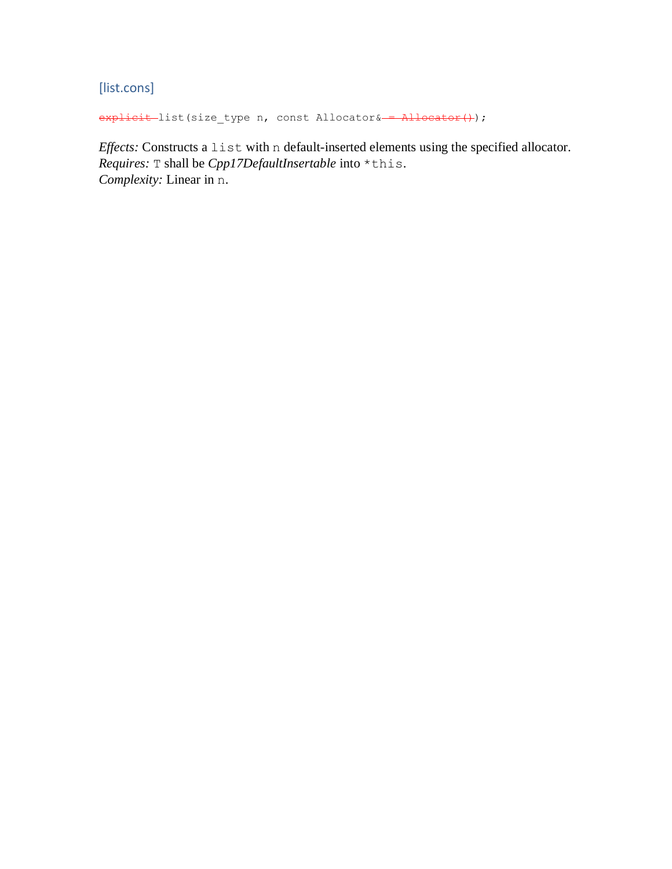<span id="page-20-0"></span>[list.cons]

explicit list(size\_type n, const Allocator& = Allocator();

*Effects:* Constructs a list with n default-inserted elements using the specified allocator. *Requires:* T shall be *Cpp17DefaultInsertable* into \*this. *Complexity:* Linear in n.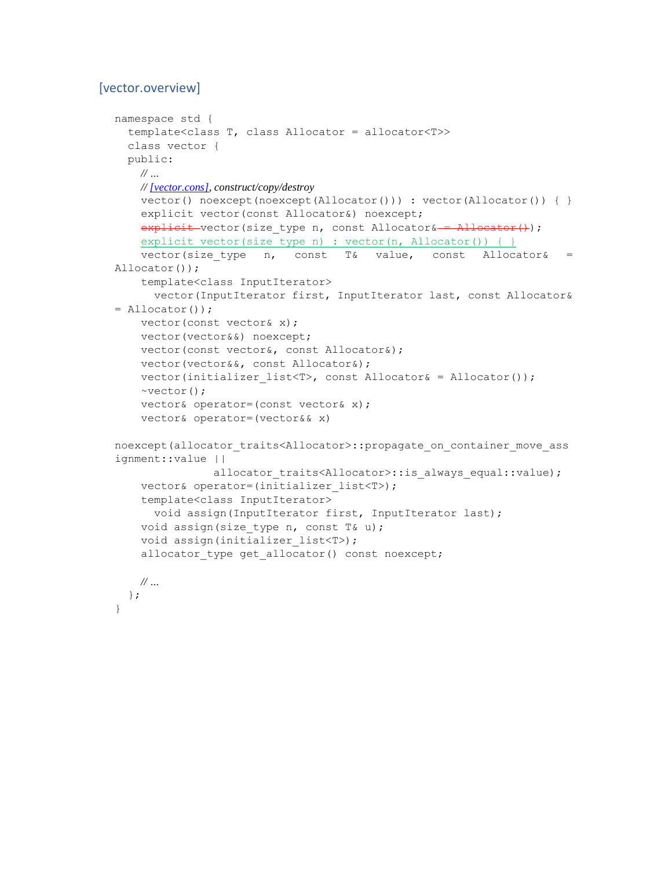#### <span id="page-21-0"></span>[vector.overview]

```
namespace std {
   template<class T, class Allocator = allocator<T>>
  class vector {
  public:
    // …
    // [vector.cons], construct/copy/destroy
    vector() noexcept(noexcept(Allocator())) : vector(Allocator()) { }
     explicit vector(const Allocator&) noexcept;
   explicit vector(size type n, const Allocator& = Allocator();
    explicit vector(size type n) : vector(n, Allocator()) { }
    vector(size_type n, const T& value, const Allocator& =
Allocator());
     template<class InputIterator>
       vector(InputIterator first, InputIterator last, const Allocator& 
= Allocator());
    vector(const vector& x);
     vector(vector&&) noexcept;
    vector(const vector&, const Allocator&);
    vector(vector&&, const Allocator&);
   vector(initializer_list<T>, const Allocator& = Allocator());
    ~vector();
    vector& operator=(const vector& x);
    vector& operator=(vector&& x)
noexcept(allocator traits<Allocator>::propagate on container move ass
ignment::value ||
               allocator traits<Allocator>::is always equal::value);
     vector& operator=(initializer_list<T>);
     template<class InputIterator>
      void assign(InputIterator first, InputIterator last);
    void assign(size type n, const T& u);
    void assign(initializer_list<T>);
    allocator type get allocator() const noexcept;
   // …
  };
}
```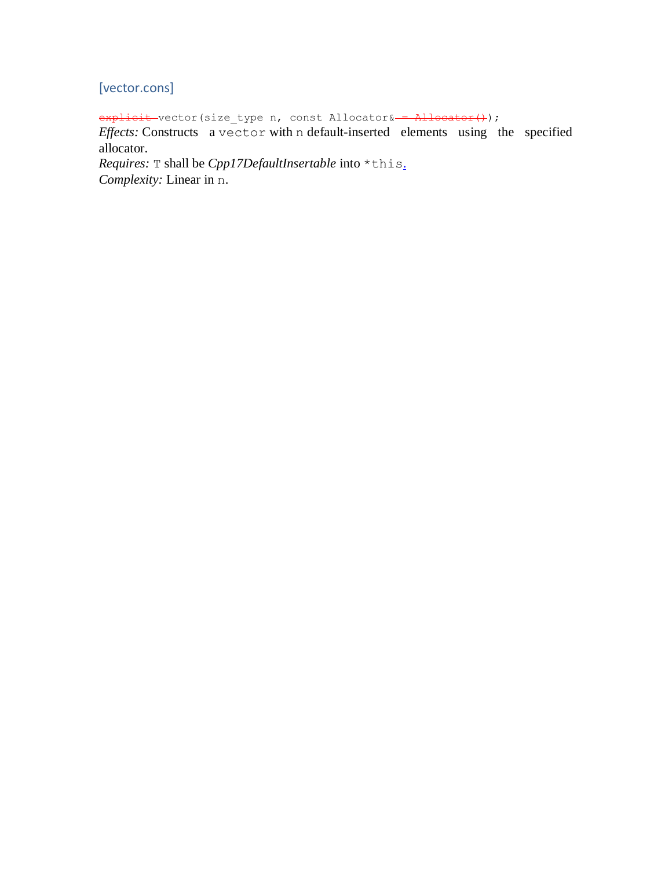### <span id="page-22-0"></span>[vector.cons]

explicit vector(size\_type n, const Allocator& = Allocator();

*Effects:* Constructs a vector with n default-inserted elements using the specified allocator.

*Requires:* T shall be *Cpp17DefaultInsertable* into \*this[.](http://www.eel.is/c++draft/vector.cons#4.sentence-1) *Complexity:* Linear in n.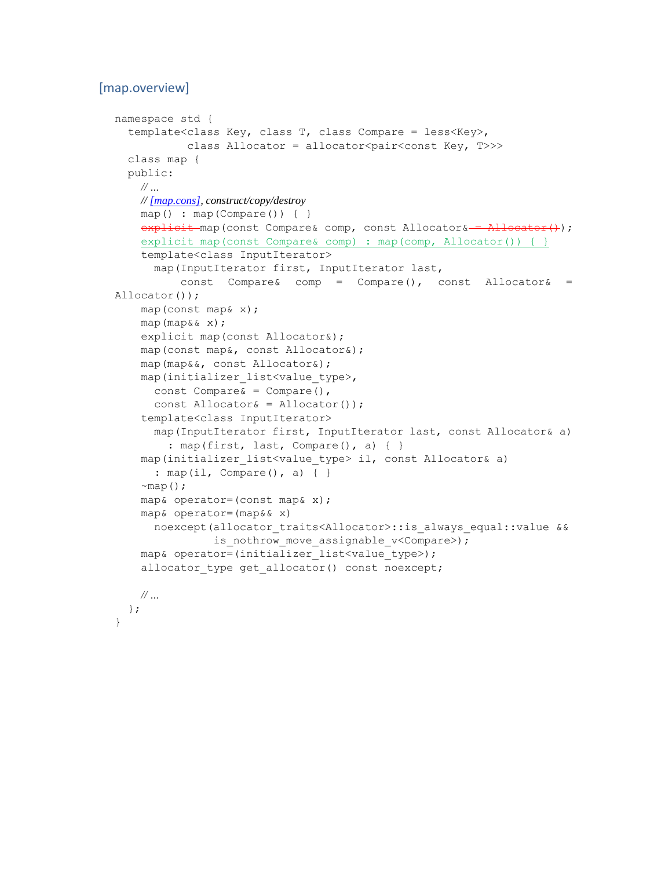#### <span id="page-23-0"></span>[map.overview]

```
namespace std {
   template<class Key, class T, class Compare = less<Key>,
           class Allocator = allocator<pair<const Key, T>>>
   class map {
   public:
     // …
    // [map.cons], construct/copy/destroy
     map() : map(Compare()) { }
    \frac{1}{1} explicit map(const Compare& comp, const Allocator& = \frac{1}{10} and \frac{1}{10} ;
    explicit map(const Compare& comp) : map(comp, Allocator()) { }
     template<class InputIterator>
       map(InputIterator first, InputIterator last,
          const Compare& comp = Compare(), const Allocator& =
Allocator());
     map(const map& x);
     map(map&& x);
     explicit map(const Allocator&);
     map(const map&, const Allocator&);
     map(map&&, const Allocator&);
     map(initializer_list<value_type>,
      const Compare \& = Compare (),
      const Allocator\& = Allocator());
     template<class InputIterator>
       map(InputIterator first, InputIterator last, const Allocator& a)
        : map(first, last, Compare(), a) { }
     map(initializer_list<value_type> il, const Allocator& a)
       : map(il, Compare(), a) { }
    \simmap();
     map& operator=(const map& x);
     map& operator=(map&& x)
      noexcept(allocator traits<Allocator>::is always equal::value &&
                is nothrow move assignable v<Compare>);
    map& operator=(initializer_list<value_type>);
    allocator type get allocator() const noexcept;
    // …
   };
```

```
}
```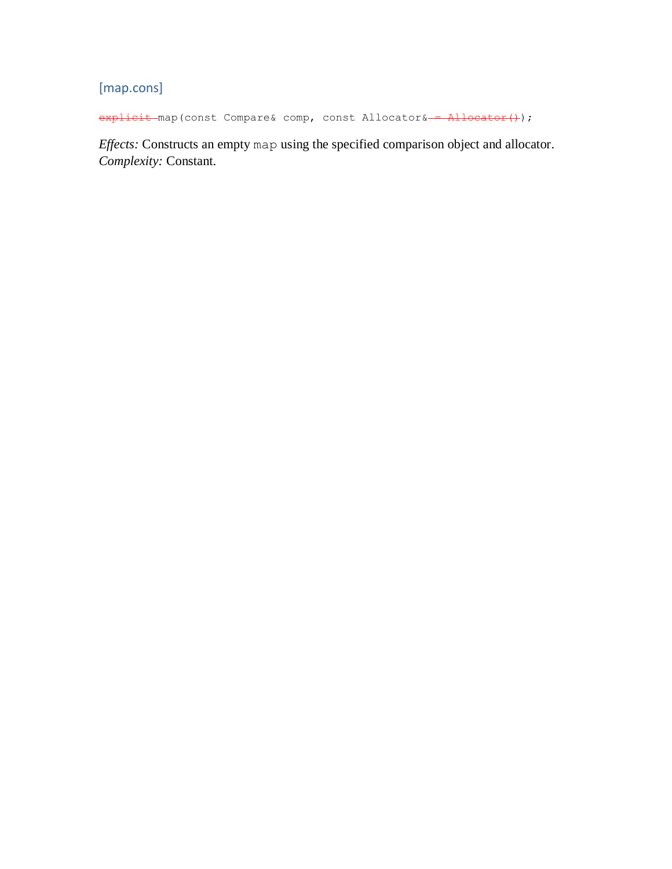# <span id="page-24-0"></span>[map.cons]

explicit map(const Compare& comp, const Allocator& = Allocator();

*Effects:* Constructs an empty map using the specified comparison object and allocator. *Complexity:* Constant.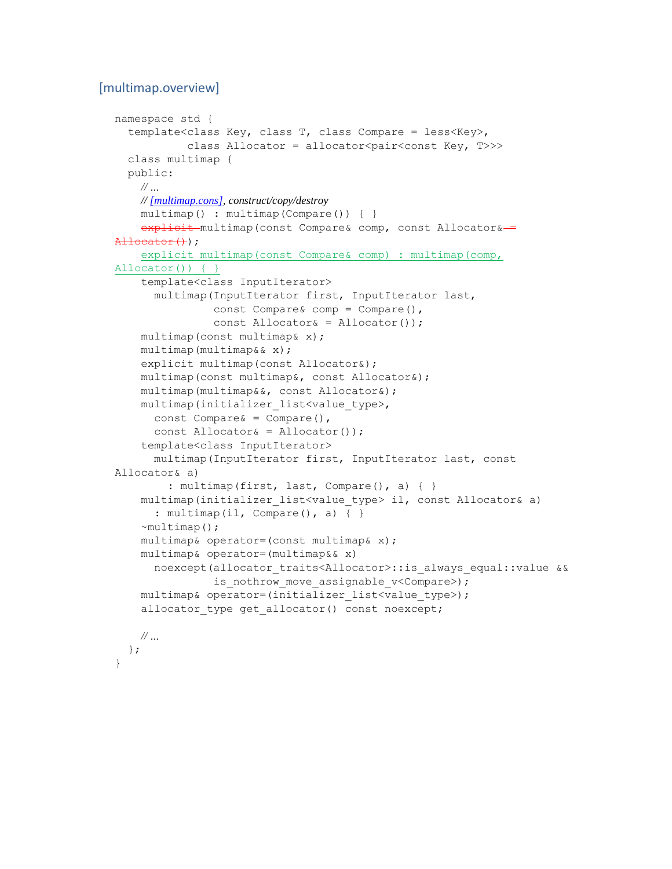#### <span id="page-25-0"></span>[multimap.overview]

```
namespace std {
   template<class Key, class T, class Compare = less<Key>,
           class Allocator = allocator<pair<const Key, T>>>
  class multimap {
  public:
    // …
    // [multimap.cons], construct/copy/destroy
   multimap() : multimap(Compare()) { }
    explicit multimap (const Compare& comp, const Allocator&-
Allocator());
     explicit multimap(const Compare& comp) : multimap(comp, 
Allocator()) { }
     template<class InputIterator>
       multimap(InputIterator first, InputIterator last,
               const Compare& comp = Compare(),
               const Allocator& = Allocator());
    multimap(const multimap& x);
    multimap(multimap&& x);
    explicit multimap(const Allocator&);
    multimap(const multimap&, const Allocator&);
    multimap(multimap&&, const Allocator&);
    multimap(initializer_list<value_type>,
     const Compare \& = Compare(),
       const Allocator& = Allocator());
     template<class InputIterator>
      multimap(InputIterator first, InputIterator last, const 
Allocator& a)
        : multimap(first, last, Compare(), a) { }
    multimap(initializer_list<value_type> il, const Allocator& a)
      : multimap(il, Compare(), a) \{ \}~\simmultimap();
     multimap& operator=(const multimap& x);
    multimap& operator=(multimap&& x)
       noexcept(allocator_traits<Allocator>::is_always_equal::value &&
               is nothrow move assignable v<Compare>);
    multimap& operator=(initializer_list<value_type>);
     allocator_type get_allocator() const noexcept;
    // …
  };
```
}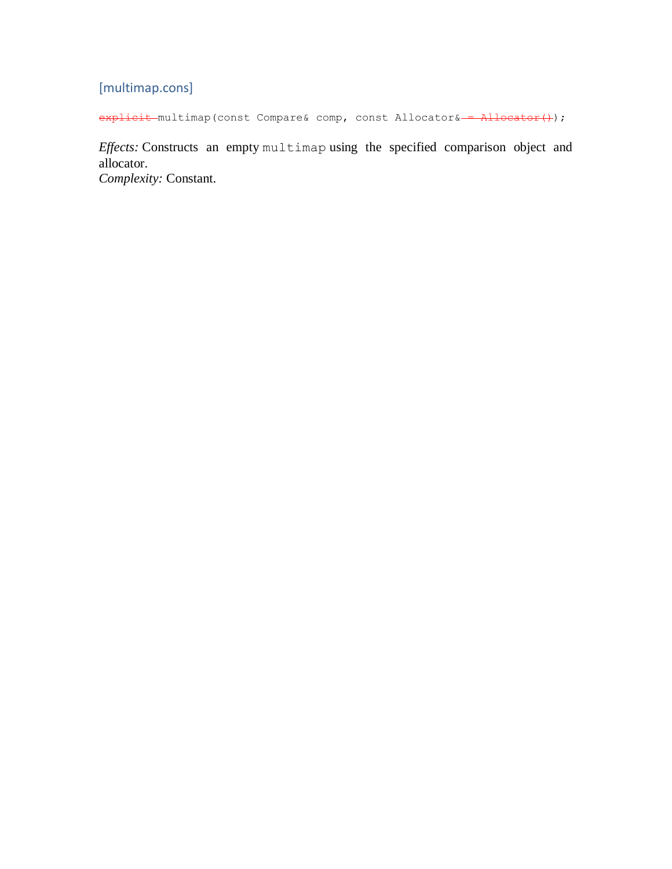# <span id="page-26-0"></span>[multimap.cons]

explicit multimap(const Compare& comp, const Allocator& = Allocator();

*Effects:* Constructs an empty multimap using the specified comparison object and allocator.

*Complexity:* Constant.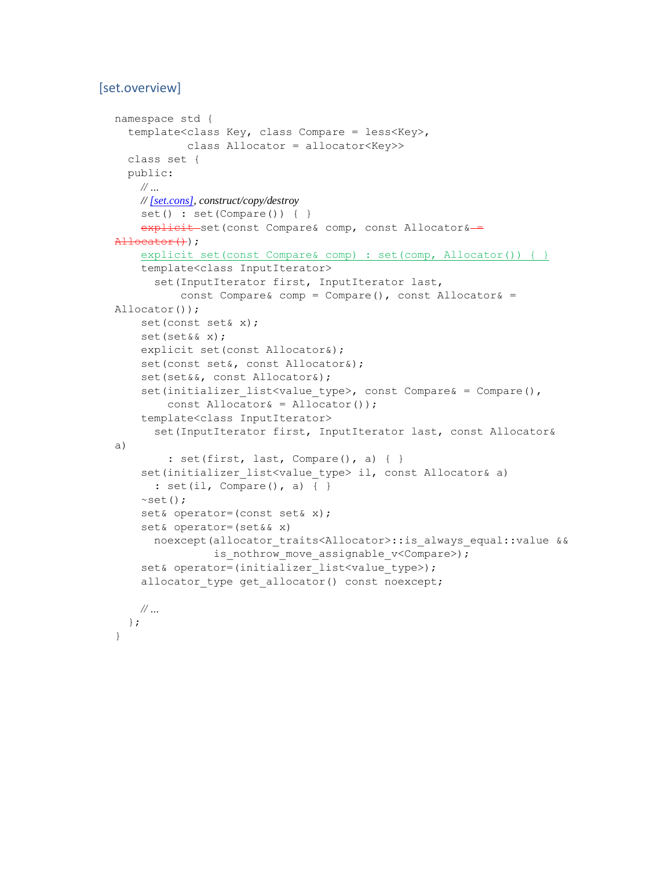#### <span id="page-27-0"></span>[set.overview]

```
namespace std {
   template<class Key, class Compare = less<Key>,
            class Allocator = allocator<Key>>
   class set {
   public:
    // …
    // [set.cons], construct/copy/destroy
     set() : set(Compare()) { }
    explicit set(const Compare& comp, const Allocator&-
\text{Allocator}();
     explicit set(const Compare& comp) : set(comp, Allocator()) { }
     template<class InputIterator>
      set(InputIterator first, InputIterator last,
          const Compare& comp = Compare(), const Allocator& =
Allocator());
     set(const set& x);
     set(set&& x);
     explicit set(const Allocator&);
     set(const set&, const Allocator&);
     set(set&&, const Allocator&);
    set(initializer list<value type>, const Compare& = Compare(),
        const Allocator\& = Allocator());
     template<class InputIterator>
       set(InputIterator first, InputIterator last, const Allocator& 
a)
         : set(first, last, Compare(), a) { }
    set(initializer list<value type> il, const Allocator& a)
      : set(i1, Compare(), a) { }~\simset();
     set& operator=(const set& x);
     set& operator=(set&& x)
       noexcept(allocator_traits<Allocator>::is_always_equal::value &&
               is nothrow move assignable v<Compare>);
    set& operator=(initializer_list<value_type>);
    allocator type get allocator() const noexcept;
    // …
   };
}
```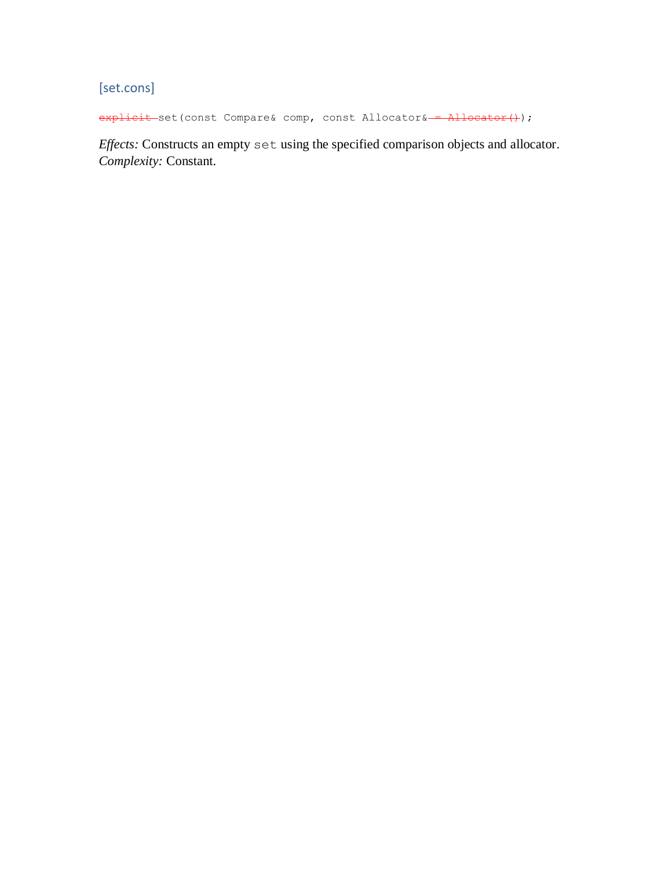<span id="page-28-0"></span>[set.cons]

explicit set(const Compare& comp, const Allocator& = Allocator();

*Effects:* Constructs an empty set using the specified comparison objects and allocator. *Complexity:* Constant.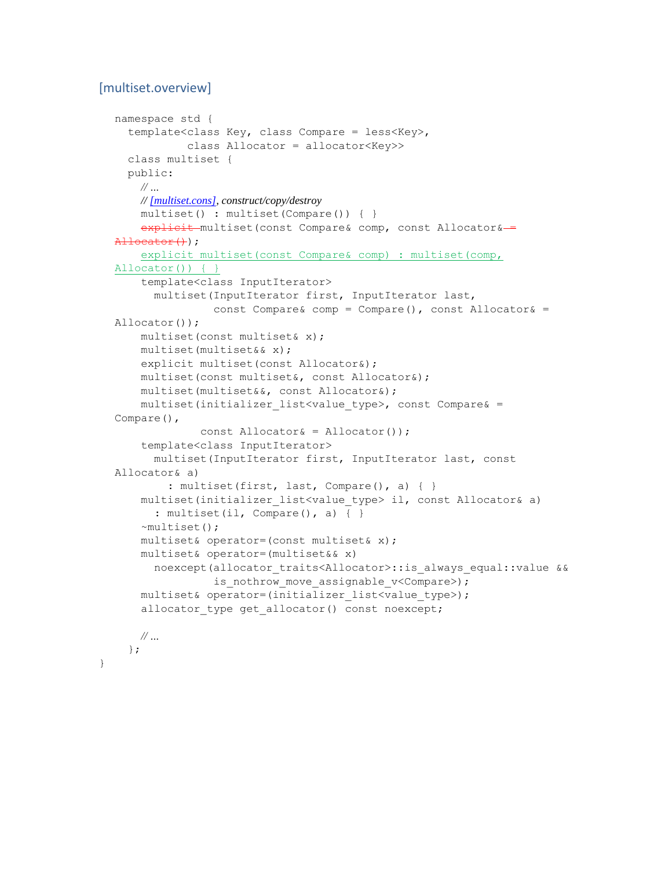#### <span id="page-29-0"></span>[multiset.overview]

```
namespace std {
   template<class Key, class Compare = less<Key>,
            class Allocator = allocator<Key>>
   class multiset {
  public:
    // …
    // [multiset.cons], construct/copy/destroy
     multiset() : multiset(Compare()) { }
    explicit multiset (const Compare& comp, const Allocator&-
\text{Allocator}(+);
     explicit multiset(const Compare& comp) : multiset(comp, 
Allocator()) { }
     template<class InputIterator>
       multiset(InputIterator first, InputIterator last,
               const Compare& comp = Compare(), const Allocator& =
Allocator());
     multiset(const multiset& x);
     multiset(multiset&& x);
    explicit multiset(const Allocator&);
     multiset(const multiset&, const Allocator&);
     multiset(multiset&&, const Allocator&);
     multiset(initializer_list<value_type>, const Compare& = 
Compare(),
              const Allocator& = Allocator());
     template<class InputIterator>
       multiset(InputIterator first, InputIterator last, const 
Allocator& a)
        : multiset(first, last, Compare(), a) { }
     multiset(initializer_list<value_type> il, const Allocator& a)
      : multiset(il, Compare(), a) \{ \} ~multiset();
     multiset& operator=(const multiset& x);
     multiset& operator=(multiset&& x)
       noexcept(allocator_traits<Allocator>::is_always_equal::value &&
               is nothrow move assignable v<Compare>);
     multiset& operator=(initializer_list<value_type>);
     allocator_type get_allocator() const noexcept;
    // …
  };
```
}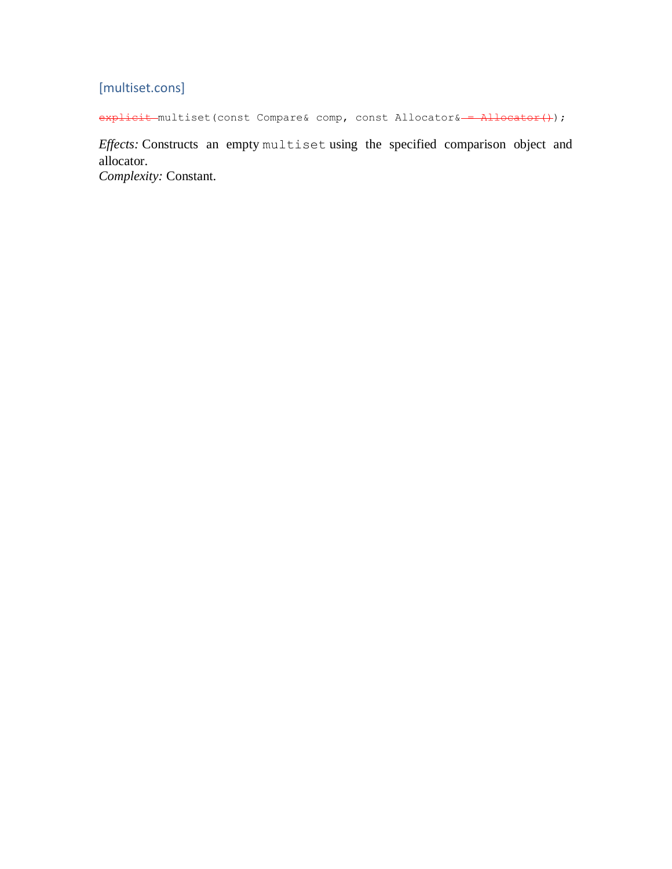# <span id="page-30-0"></span>[multiset.cons]

explicit multiset(const Compare& comp, const Allocator& = Allocator();

*Effects:* Constructs an empty multiset using the specified comparison object and allocator. *Complexity:* Constant.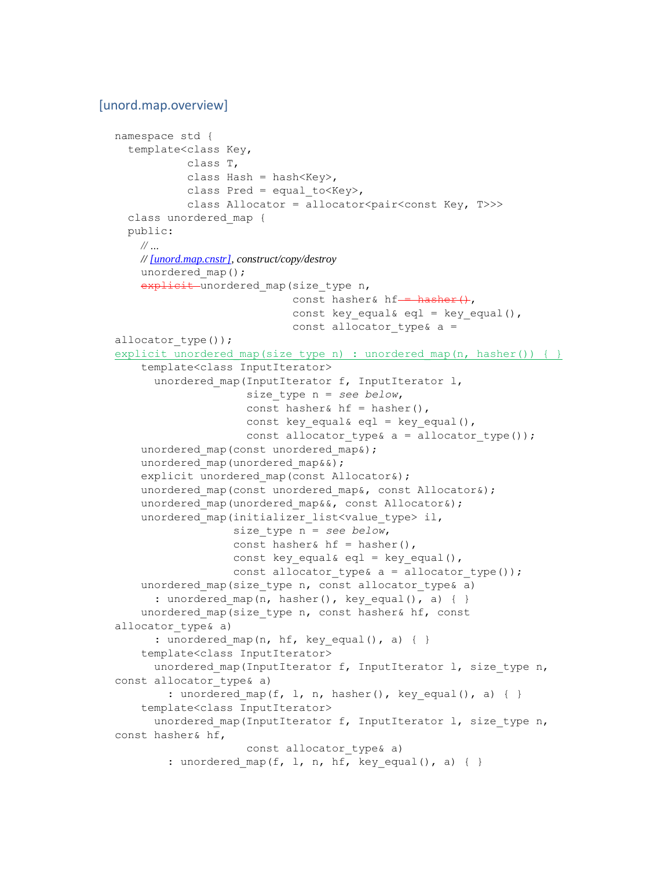#### <span id="page-31-0"></span>[unord.map.overview]

```
namespace std {
   template<class Key,
            class T,
           class Hash = hash<Key>,
           class Pred = equal to \langle Key \rangle,
           class Allocator = allocator<pair<const Key, T>>>
  class unordered_map {
  public:
    // …
    // [unord.map.cnstr], construct/copy/destroy
    unordered map();
   explicit unordered map (size type n,
                            const hasher& hf--\text{haber}(\cdot),
                            const key equal& eql = key equal(),
                            const allocator type& a =allocator type());
explicit unordered map(size type n) : unordered map(n, hasher()) { }
     template<class InputIterator>
       unordered_map(InputIterator f, InputIterator l,
                      size_type n = see below,
                     const hasher& hf = hasher(),
                     const key equal& eql = key equal(),
                     const allocator type& a = allocator type());
    unordered map(const unordered map&);
    unordered map(unordered map&&);
    explicit unordered map(const Allocator&);
    unordered map(const unordered map&, const Allocator&);
    unordered map(unordered map&&, const Allocator&);
    unordered map(initializer list<value type> il,
                   size_type n = see below,
                  const hasher& hf = hasher(),
                  const key equal& eql = key equal(),
                  const allocator type& a = allocator type());
    unordered map(size type n, const allocator type& a)
      : unordered map(n, hasher(), key equal(), a) \{ \}unordered map(size type n, const hasher& hf, const
allocator type& a)
      : unordered map(n, hf, key equal(), a) \{ \} template<class InputIterator>
      unordered map(InputIterator f, InputIterator l, size type n,
const allocator type& a)
        : unordered map(f, l, n, hasher(), key_equal(), a) { }
     template<class InputIterator>
      unordered map(InputIterator f, InputIterator l, size type n,
const hasher& hf,
                     const allocator type& a)
        : unordered map(f, l, n, hf, key equal(), a) { }
```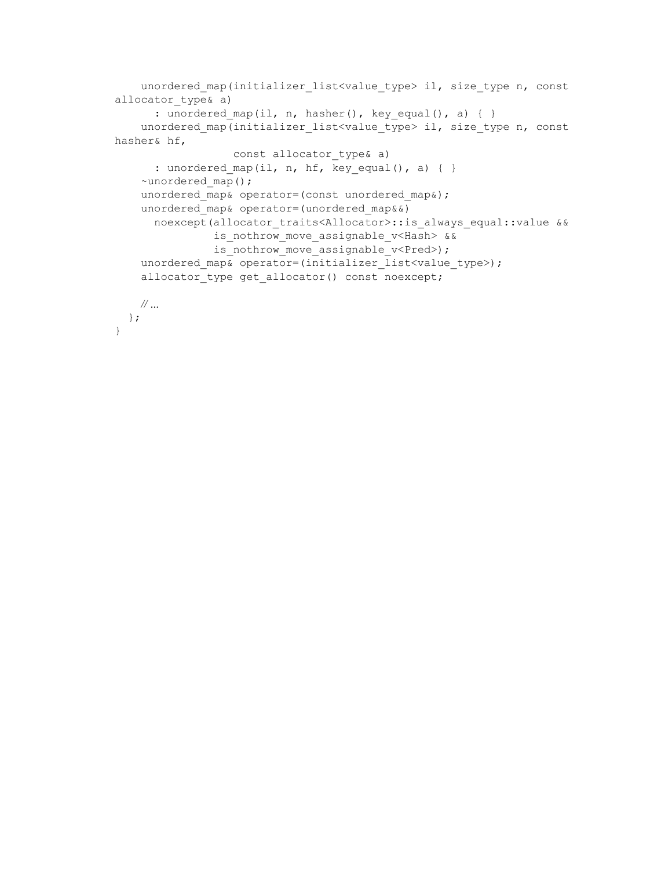```
unordered map(initializer_list<value_type> il, size_type n, const
allocator type& a)
      : unordered_map(il, n, hasher(), key_equal(), a) { }
    unordered map(initializer list<value type> il, size type n, const
hasher& hf,
                 const allocator type& a)
      : unordered_map(il, n, hf, key_equal(), a) { }
     ~unordered_map();
   unordered map& operator=(const unordered map&);
   unordered map& operator=(unordered map&&)
     noexcept(allocator traits<Allocator>::is always equal::value &&
               is nothrow move assignable v<Hash> &&
               is nothrow move assignable v<Pred>);
    unordered map& operator=(initializer_list<value_type>);
    allocator type get allocator() const noexcept;
   // …
  };
}
```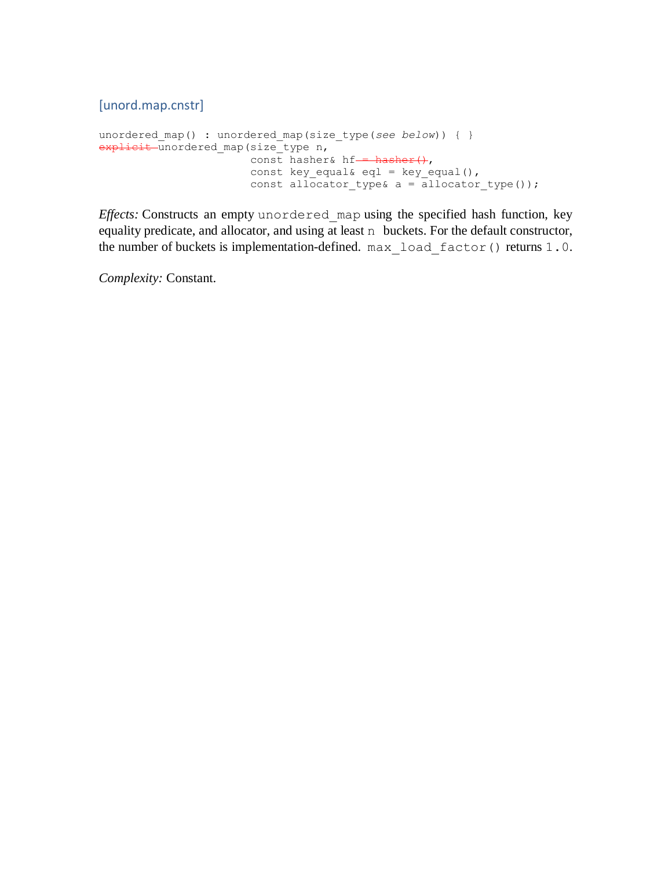<span id="page-33-0"></span>[unord.map.cnstr]

```
unordered map() : unordered map(size type(see below)) { }
explicit unordered_map(size_type n,
                       const hasher& hf-= hasher(),
                       const key equal& eql = key equal(),
                       const allocator type& a = allocator type());
```
*Effects:* Constructs an empty unordered\_map using the specified hash function, key equality predicate, and allocator, and using at least n buckets. For the default constructor, the number of buckets is implementation-defined. max load factor() returns 1.0.

*Complexity:* Constant.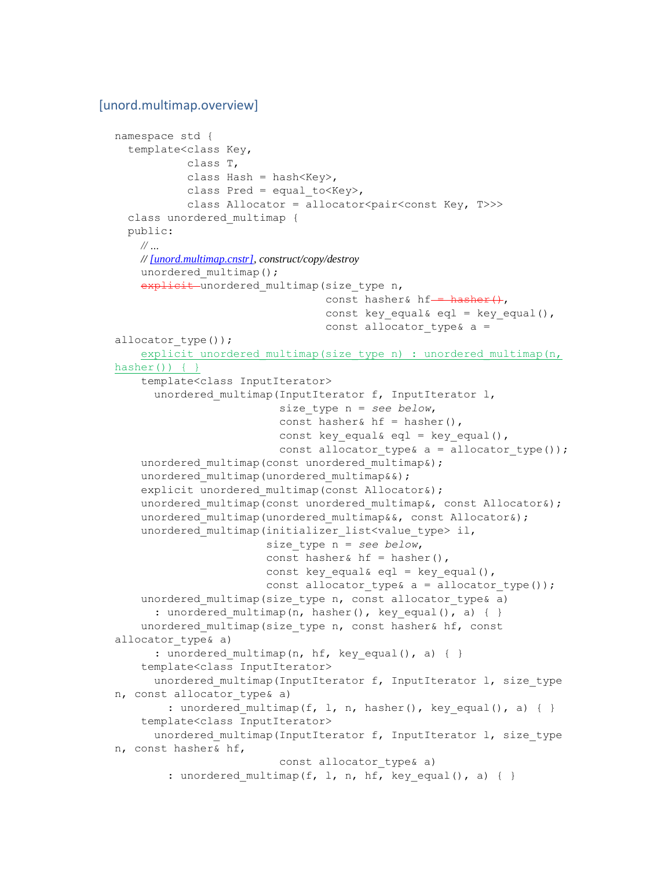#### <span id="page-34-0"></span>[unord.multimap.overview]

```
namespace std {
  template<class Key,
            class T,
           class Hash = hash<Key>,
           class Pred = equal to \langle Key \rangle,
           class Allocator = allocator<pair<const Key, T>>>
  class unordered_multimap {
  public:
    // …
    // [unord.multimap.cnstr], construct/copy/destroy
    unordered multimap();
   explicit unordered multimap (size type n,
                                 const hasher& hf--\ hasher(),
                                 const key equal& eql = key equal(),
                                 const allocator type& a =allocator type());
    explicit unordered multimap(size type n) : unordered multimap(n,
hasher()) \{\} template<class InputIterator>
      unordered multimap(InputIterator f, InputIterator l,
                           size_type n = see below,
                          const hasher& hf = hasher(),
                          const key equal& eql = key equal(),
                          const allocator type& a = allocator type());
    unordered multimap(const unordered multimap&);
    unordered multimap(unordered multimap&&);
    explicit unordered multimap(const Allocator&);
    unordered multimap(const unordered multimap&, const Allocator&);
    unordered multimap(unordered multimap&&, const Allocator&);
    unordered multimap(initializer list<value type> il,
                         size_type n = see below,
                        const hasher& hf = hasher(),
                       const key_equal& eql = key_equal(),
                        const allocator type& a = allocator type());
    unordered multimap(size type n, const allocator type \alpha a)
      : unordered multimap(n, hasher(), key equal(), a) { }
     unordered_multimap(size_type n, const hasher& hf, const 
allocator type& a)
      : unordered multimap(n, hf, key equal(), a) \{ \} template<class InputIterator>
      unordered multimap(InputIterator f, InputIterator l, size type
n, const allocator type& a)
        : unordered multimap(f, l, n, hasher(), key equal(), a) { }
     template<class InputIterator>
      unordered multimap(InputIterator f, InputIterator l, size type
n, const hasher& hf,
                          const allocator type& a)
        : unordered multimap(f, l, n, hf, key equal(), a) \{ \}
```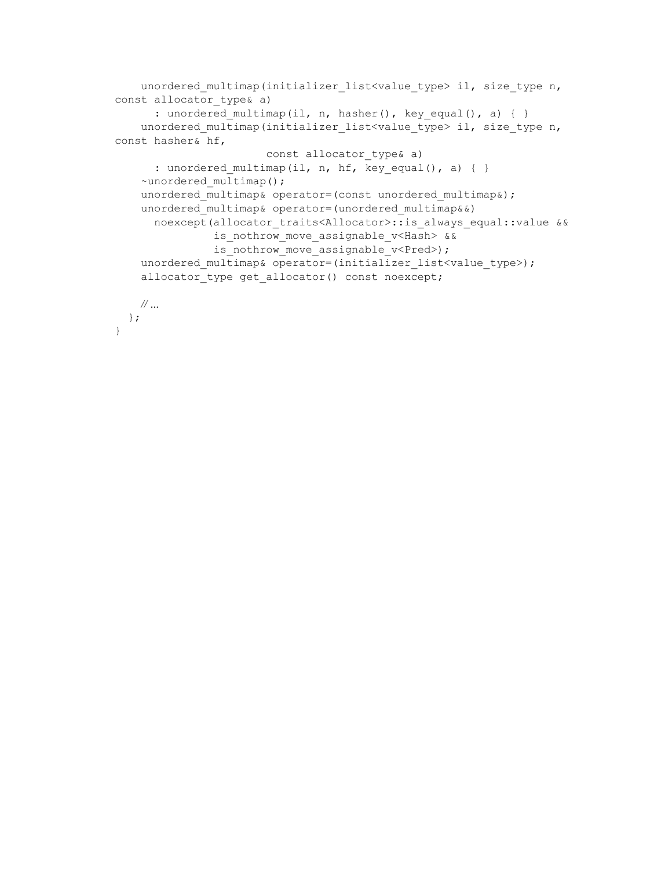```
unordered multimap(initializer_list<value_type> il, size_type n,
const allocator type& a)
       : unordered_multimap(il, n, hasher(), key_equal(), a) { }
    unordered multimap(initializer list<value type> il, size type n,
const hasher& hf,
                        const allocator_type& a)
       : unordered_multimap(il, n, hf, key_equal(), a) { }
    ~unordered multimap();
    unordered multimap& operator=(const unordered multimap&);
    unordered multimap& operator=(unordered multimap&&)
     noexcept(allocator traits<Allocator>::is always equal::value &&
               is nothrow move assignable v<Hash> &&
               is nothrow move assignable v<Pred>);
    unordered multimap& operator=(initializer_list<value_type>);
    allocator type get allocator() const noexcept;
   // …
  };
}
```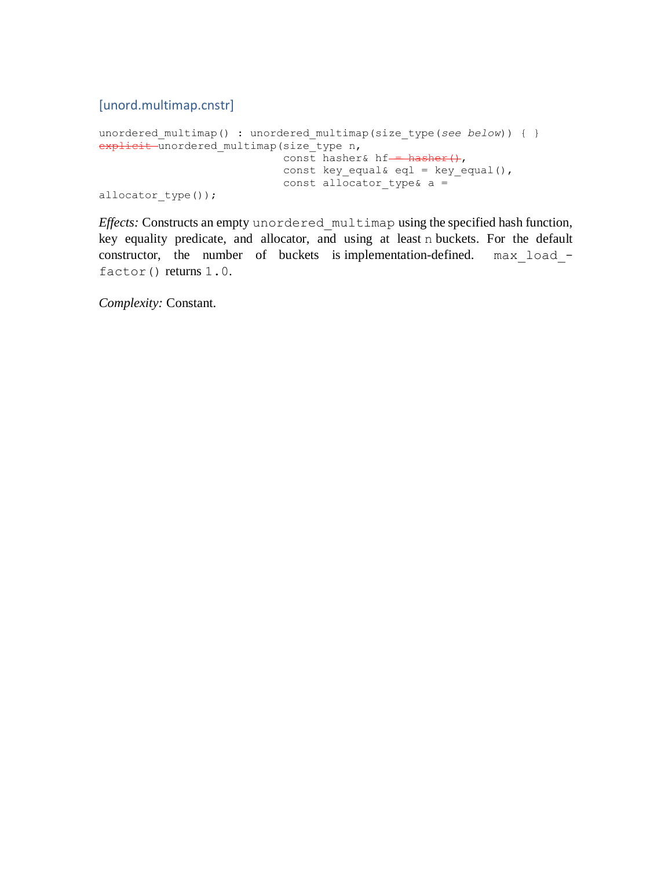# [unord.multimap.cnstr]

```
unordered multimap() : unordered multimap(size type(see below)) { }
explicit unordered_multimap(size_type n,
                               const hasher& hf-\frac{1}{\sqrt{1-\frac{1}{n}}}\cdotconst key equal& eql = key equal(),
                               const allocator type& a =
allocator type());
```
*Effects:* Constructs an empty unordered\_multimap using the specified hash function, key equality predicate, and allocator, and using at least n buckets. For the default constructor, the number of buckets is implementation-defined. max load factor() returns 1.0.

*Complexity:* Constant.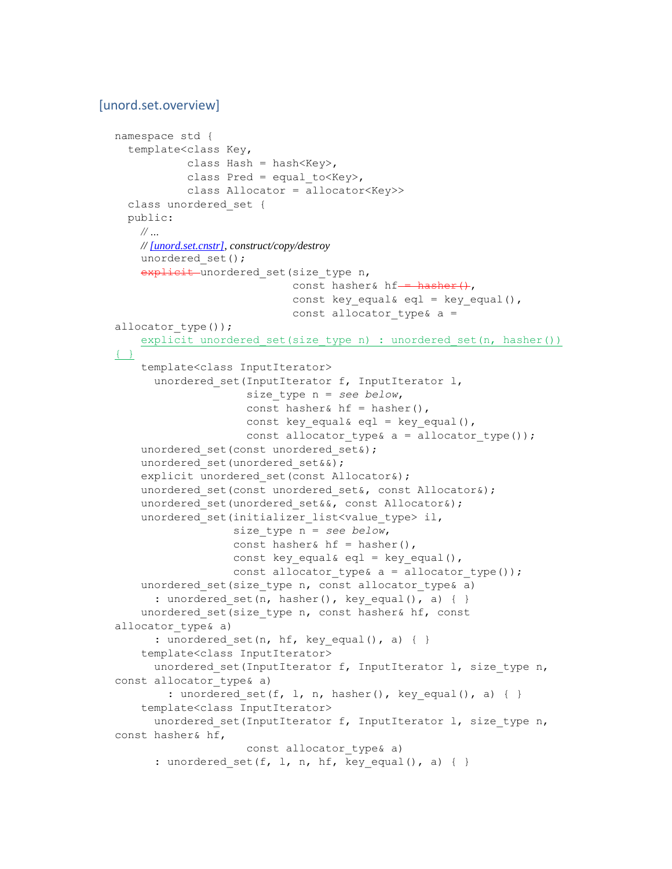#### [unord.set.overview]

```
namespace std {
   template<class Key,
           class Hash = hash<Key>,
           class Pred = equal to Key,
            class Allocator = allocator<Key>>
  class unordered_set {
  public:
    // …
    // [unord.set.cnstr], construct/copy/destroy
   unordered set();
    explicit unordered set (size type n,
                           const hasher& hf = hasher(),
                           const key equal& eql = key equal(),
                           const allocator type& a =allocator type());
    explicit unordered set(size type n) : unordered set(n, hasher())
{ }
     template<class InputIterator>
       unordered_set(InputIterator f, InputIterator l,
                     size_type n = see below,
                    const hasher& hf = hasher(),
                    const key equal& eql = key equal(),
                    const allocator type& a = allocator type());
    unordered set(const unordered set&);
    unordered set(unordered set&&);
    explicit unordered set(const Allocator&);
    unordered set(const unordered set&, const Allocator&);
    unordered set(unordered set&&, const Allocator&);
    unordered set(initializer list<value type> il,
                   size_type n = see below,
                  const hasher& hf = hasher(),
                  const key equal& eql = key equal(),
                  const allocator type& a = allocator type());
    unordered set(size type n, const allocator type& a)
      : unordered set(n, hasher(), key equal(), a) \{ \}unordered set(size type n, const hasher& hf, const
allocator type& a)
      : unordered set(n, hf, key equal(), a) \{ \} template<class InputIterator>
     unordered set(InputIterator f, InputIterator l, size type n,
const allocator_type& a)
        : unordered set(f, l, n, hasher(), key equal(), a) { }
     template<class InputIterator>
      unordered set(InputIterator f, InputIterator l, size type n,
const hasher& hf,
                    const allocator type& a)
      : unordered set(f, l, n, hf, key_equal(), a) { }
```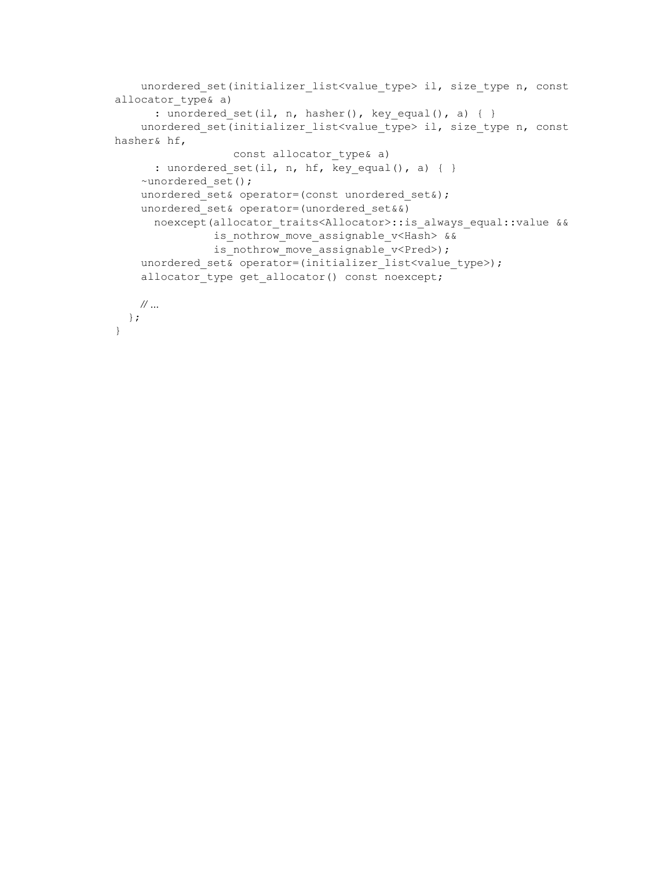```
unordered set(initializer_list<value_type> il, size_type n, const
allocator type& a)
     : unordered_set(il, n, hasher(), key_equal(), a) { }
    unordered set(initializer list<value type> il, size type n, const
hasher& hf,
                 const allocator type& a)
      : unordered_set(il, n, hf, key_equal(), a) { }
     ~unordered_set();
   unordered set& operator=(const unordered set&);
   unordered set& operator=(unordered set&&)
     noexcept(allocator_traits<Allocator>::is_always_equal::value &&
               is nothrow move assignable v<Hash> &&
               is nothrow move_assignable_v<Pred>);
    unordered set& operator=(initializer_list<value_type>);
   allocator type get allocator() const noexcept;
   // …
  };
}
```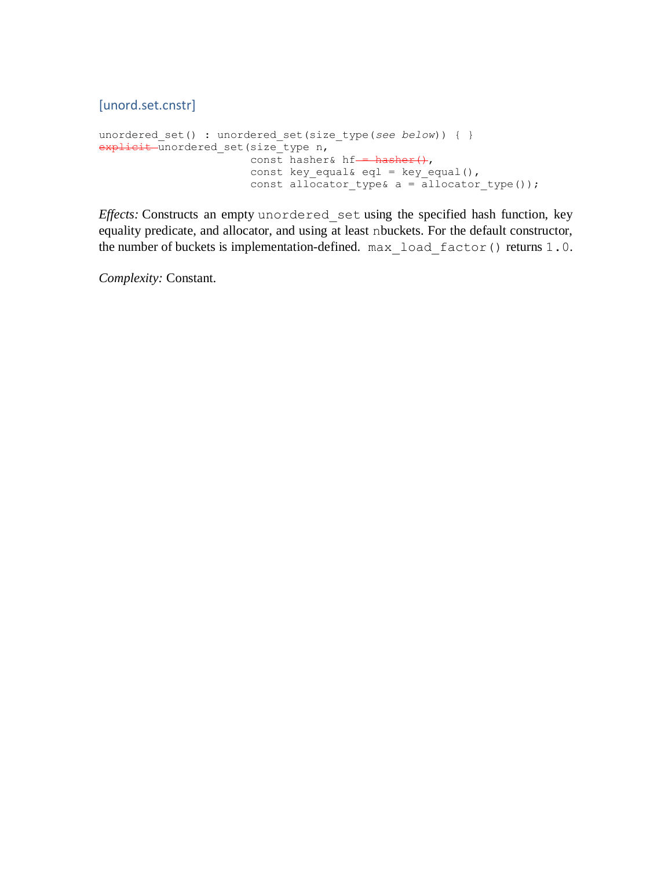[unord.set.cnstr]

```
unordered set() : unordered set(size type(see below)) { }
explicit unordered_set(size_type n,
                        const hasher& hf-\frac{1}{2} hasher(),
                        const key equal& eql = key equal(),
                        const allocator type& a = allocator type());
```
*Effects:* Constructs an empty unordered\_set using the specified hash function, key equality predicate, and allocator, and using at least nbuckets. For the default constructor, the number of buckets is implementation-defined. max load factor() returns 1.0.

*Complexity:* Constant.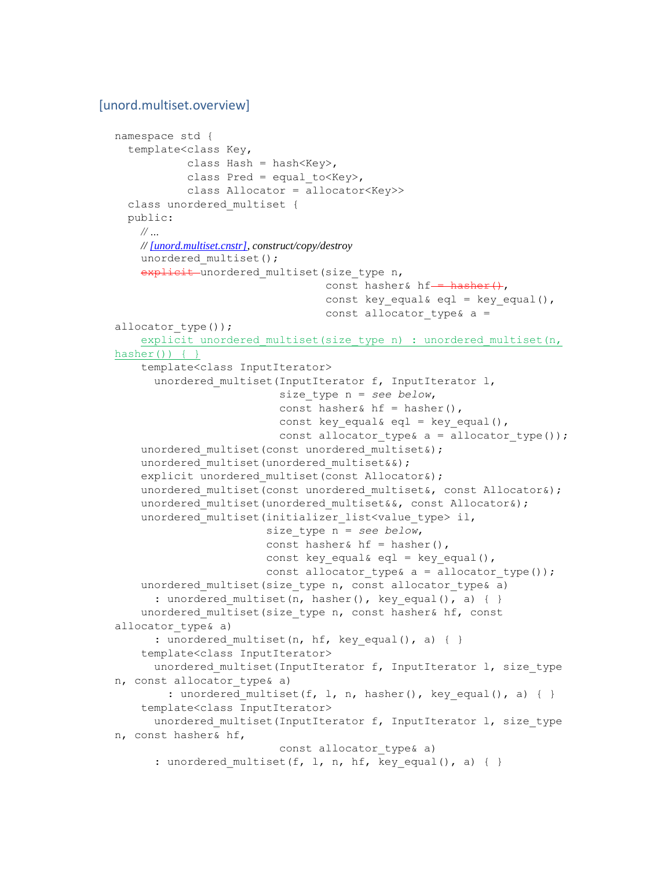#### [unord.multiset.overview]

```
namespace std {
   template<class Key,
           class Hash = hash<Key>,
           class Pred = equal to Key,
            class Allocator = allocator<Key>>
   class unordered_multiset {
   public:
    // …
    // [unord.multiset.cnstr], construct/copy/destroy
    unordered multiset();
    explicit unordered multiset (size type n,
                                 const hasher& hf--\text{haber}(\cdot),
                                 const key equal& eql = key equal(),
                                 const allocator type& a =allocator type());
    explicit unordered multiset(size type n) : unordered multiset(n,
hasher()) { }
     template<class InputIterator>
      unordered multiset(InputIterator f, InputIterator l,
                          size_type n = see below,
                          const hasher& hf = hasher(),
                          const key equal& eql = key equal(),
                          const allocator type& a = allocator type());
    unordered multiset(const unordered multiset&);
    unordered multiset(unordered multiset&&);
    explicit unordered multiset(const Allocator&);
    unordered multiset(const unordered multiset&, const Allocator&);
    unordered multiset(unordered multiset&&, const Allocator&);
    unordered multiset(initializer list<value type> il,
                        size_type n = see below,
                       const hasher& hf = hasher(),
                       const key equal& eql = key equal(),
                        const allocator type& a = allocator type());
    unordered multiset(size type n, const allocator type& a)
      : unordered multiset(n, hasher(), key equal(), a) \{ \}unordered multiset(size type n, const hasher& hf, const
allocator type& a)
      : unordered multiset(n, hf, key equal(), a) { }
     template<class InputIterator>
      unordered multiset(InputIterator f, InputIterator l, size type
n, const allocator type& a)
        : unordered multiset(f, l, n, hasher(), key equal(), a) { }
     template<class InputIterator>
      unordered multiset(InputIterator f, InputIterator l, size type
n, const hasher& hf,
                          const allocator type& a)
      : unordered multiset(f, l, n, hf, key equal(), a) \{ \}
```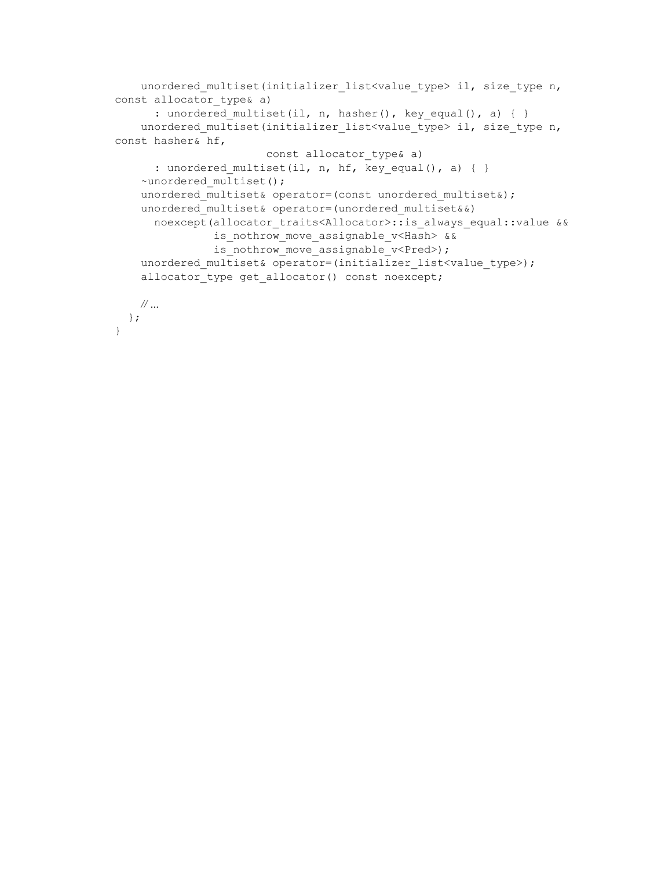```
unordered multiset(initializer list<value type> il, size type n,
const allocator type& a)
      : unordered_multiset(il, n, hasher(), key_equal(), a) { }
    unordered multiset(initializer list<value type> il, size type n,
const hasher& hf,
                        const allocator_type& a)
       : unordered_multiset(il, n, hf, key_equal(), a) { }
    ~unordered multiset();
    unordered multiset& operator=(const unordered multiset&);
    unordered multiset& operator=(unordered multiset&&)
     noexcept(allocator traits<Allocator>::is always equal::value &&
               is nothrow move assignable v<Hash> &&
               is nothrow move assignable v<Pred>);
    unordered multiset& operator=(initializer_list<value_type>);
    allocator type get allocator() const noexcept;
   // …
  };
}
```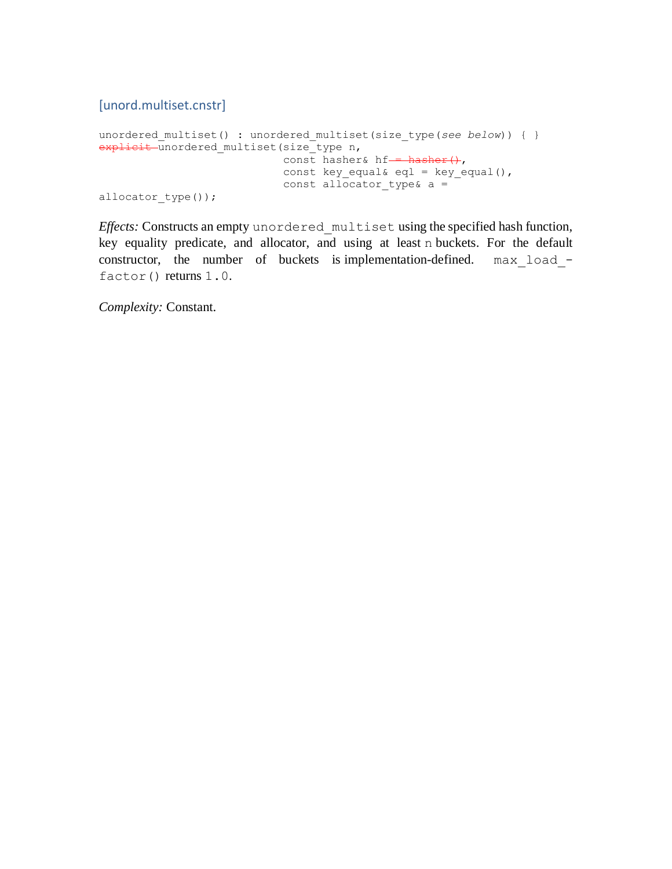[unord.multiset.cnstr]

```
unordered multiset() : unordered multiset(size type(see below)) { }
explicit unordered_multiset(size_type n,
                            const hasher& hf-\frac{1}{2} hasher(),
                             const key equal& eql = key equal(),
                             const allocator type& a =allocator type());
```
*Effects:* Constructs an empty unordered\_multiset using the specified hash function, key equality predicate, and allocator, and using at least n buckets. For the default constructor, the number of buckets is implementation-defined. max\_load\_ factor() returns 1.0.

*Complexity:* Constant.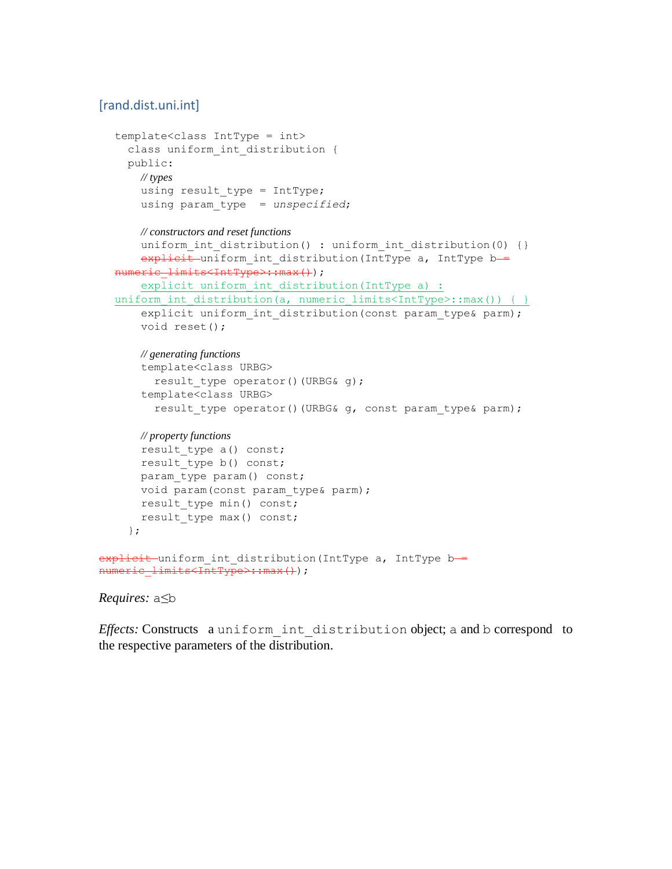# [rand.dist.uni.int]

```
template<class IntType = int>
    class uniform int distribution {
     public:
       // types
      using result type = IntType; using param_type = unspecified;
       // constructors and reset functions
      uniform int distribution() : uniform int distribution(0) {}
      explicit uniform int distribution(IntType a, IntType b =
  numeric limits<IntType>:: max());
      explicit uniform int distribution(IntType a) :
  uniform int distribution(a, numeric limits<IntType>::max()) { }
      explicit uniform int distribution(const param type& parm);
       void reset();
       // generating functions
       template<class URBG>
        result type operator()(URBG& g);
       template<class URBG>
        result type operator()(URBG& g, const param type& parm);
       // property functions
      result type a() const;
      result type b() const;
      param type param() const;
      void param(const param type& parm);
      result type min() const;
      result type max() const;
     };
explicit uniform int distribution(IntType a, IntType b =
numeric_limits<IntType>::max());
```
### *Requires:* a≤b

*Effects:* Constructs a uniform\_int\_distribution object; a and b correspond to the respective parameters of the distribution.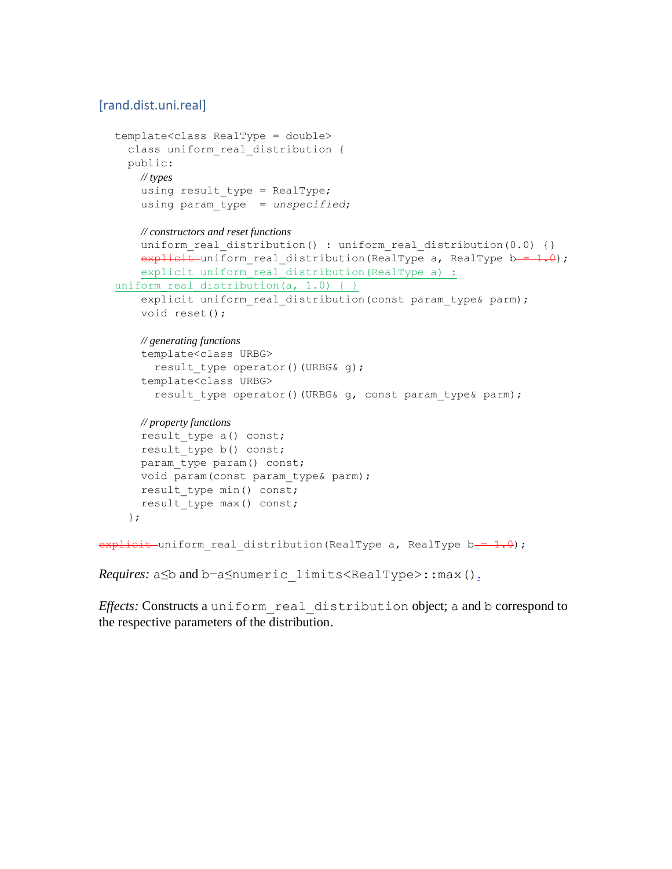# [rand.dist.uni.real]

```
template<class RealType = double>
     class uniform_real_distribution {
     public:
       // types
      using result type = RealType; using param_type = unspecified;
       // constructors and reset functions
      uniform real distribution() : uniform real distribution(0.0) {}
      explicit uniform real distribution(RealType a, RealType b = 1.0);
      explicit uniform real distribution(RealType a) :
  uniform real distribution(a, 1.0) { }
      explicit uniform real distribution(const param type& parm);
       void reset();
       // generating functions
       template<class URBG>
        result type operator()(URBG& q);
       template<class URBG>
        result type operator()(URBG& q, const param type& parm);
       // property functions
      result type a() const;
      result type b() const;
      param type param() const;
       void param(const param_type& parm);
      result type min() const;
      result type max() const;
     };
\frac{1}{10} explicit uniform real distribution (RealType a, RealType b = 1.0);
```

```
Requires: a≤b and b−a≤numeric_limits<RealType>::max().
```
*Effects:* Constructs a uniform\_real\_distribution object; a and b correspond to the respective parameters of the distribution.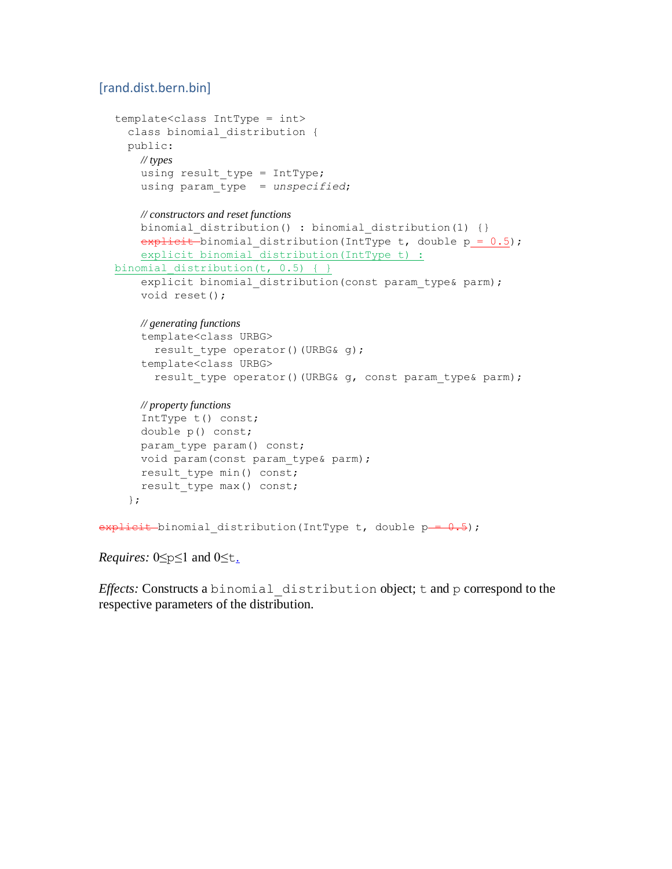# [rand.dist.bern.bin]

```
template<class IntType = int>
     class binomial_distribution {
     public:
       // types
      using result type = IntType;
       using param_type = unspecified;
       // constructors and reset functions
      binomial distribution() : binomial distribution(1) {}
      explicit binomial distribution(IntType t, double p = 0.5);
      explicit binomial distribution(IntType t) :
  binomial distribution(t, 0.5) { }
      explicit binomial distribution(const param type& parm);
       void reset();
       // generating functions
       template<class URBG>
        result type operator()(URBG& g);
       template<class URBG>
        result type operator()(URBG& g, const param type& parm);
       // property functions
       IntType t() const;
       double p() const;
      param type param() const;
      void param(const param type& parm);
      result type min() const;
      result type max() const;
     };
explitlet-binomial_distribution(IntType t, double p-0.5);
```
*Requires:* 0≤p≤1 and 0≤t[.](http://eel.is/c++draft/rand.dist.bern.bin#2.sentence-1)

*Effects:* Constructs a binomial\_distribution object; t and p correspond to the respective parameters of the distribution.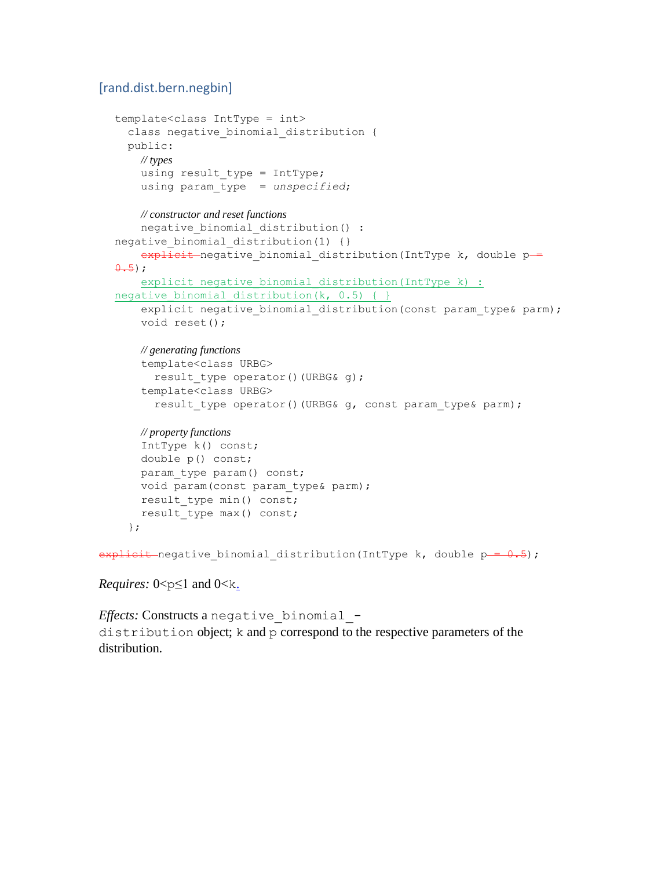### [rand.dist.bern.negbin]

```
template<class IntType = int>
    class negative binomial distribution {
     public:
       // types
      using result type = IntType;
       using param_type = unspecified;
       // constructor and reset functions
      negative binomial distribution() :
  negative binomial distribution(1) {}
      \overline{explicit}-negative binomial distribution(IntType k, double p =
  0.5);
      explicit negative binomial distribution(IntType k) :
  negative binomial distribution(k, 0.5) { }
      explicit negative binomial distribution (const param type& parm);
       void reset();
       // generating functions
       template<class URBG>
         result_type operator()(URBG& g);
       template<class URBG>
        result type operator()(URBG& g, const param type& parm);
       // property functions
       IntType k() const;
       double p() const;
       param_type param() const;
       void param(const param_type& parm);
      result type min() const;
      result type max() const;
     };
explituit-negative_binomial_distribution(IntType k, double p-= 0.5);
```
*Requires:*  $0 < p \leq 1$  and  $0 < k$ [.](http://eel.is/c++draft/rand.dist.bern.negbin#2.sentence-1)

*Effects:* Constructs a negative\_binomial\_ distribution object; k and p correspond to the respective parameters of the distribution.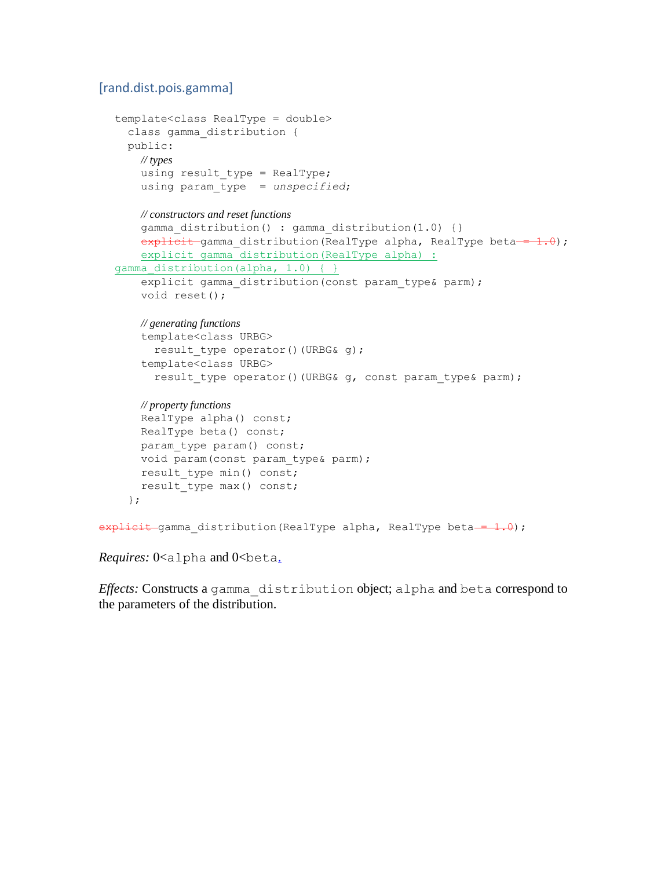### [rand.dist.pois.gamma]

```
template<class RealType = double>
     class gamma_distribution {
     public:
       // types
      using result type = RealType; using param_type = unspecified;
       // constructors and reset functions
      gamma distribution() : gamma distribution(1.0) {}
      explicit gamma distribution(RealType alpha, RealType beta = 1.0);
      explicit gamma distribution (RealType alpha) :
  gamma distribution(alpha, 1.0) { }
      explicit gamma distribution(const param type& parm);
       void reset();
       // generating functions
       template<class URBG>
        result type operator()(URBG& g);
       template<class URBG>
        result type operator()(URBG& g, const param type& parm);
       // property functions
       RealType alpha() const;
       RealType beta() const;
      param type param() const;
      void param(const param type& parm);
      result type min() const;
      result type max() const;
     };
explicit gamma distribution(RealType alpha, RealType beta - 1.0);
```
*Requires:* 0<alpha and 0<br/>beta[.](http://eel.is/c++draft/rand.dist.pois.gamma#2.sentence-1)

*Effects:* Constructs a gamma\_distribution object; alpha and beta correspond to the parameters of the distribution.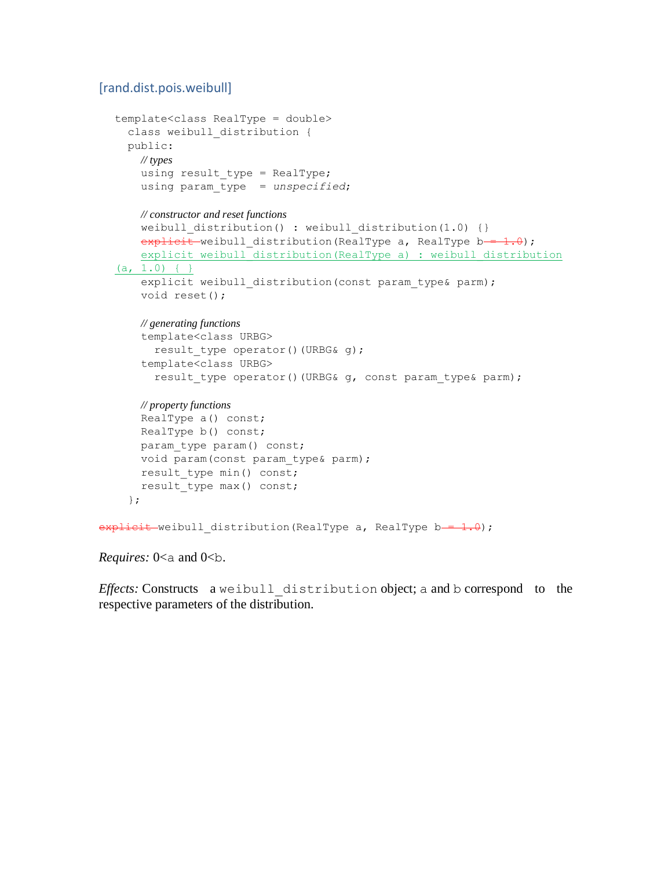### [rand.dist.pois.weibull]

```
template<class RealType = double>
    class weibull distribution {
     public:
       // types
      using result type = RealType; using param_type = unspecified;
       // constructor and reset functions
      weibull distribution() : weibull distribution(1.0) {}
      explicit weibull distribution(RealType a, RealType b = 1.0);
        explicit weibull_distribution(RealType a) : weibull_distribution 
  (a, 1.0) { }
      explicit weibull distribution(const param type& parm);
       void reset();
       // generating functions
        template<class URBG>
         result type operator()(URBG& g);
        template<class URBG>
         result type operator()(URBG& g, const param type& parm);
       // property functions
       RealType a() const;
       RealType b() const;
      param type param() const;
      void param (const param type& parm);
      result type min() const;
       result type max() const;
     };
\frac{1}{10} = \frac{1}{10} = \frac{1}{10} distribution(RealType a, RealType b = \frac{1}{10};
```

```
Requires: 0<a and 0<br/>>b.
```
*Effects:* Constructs a weibull\_distribution object; a and b correspond to the respective parameters of the distribution.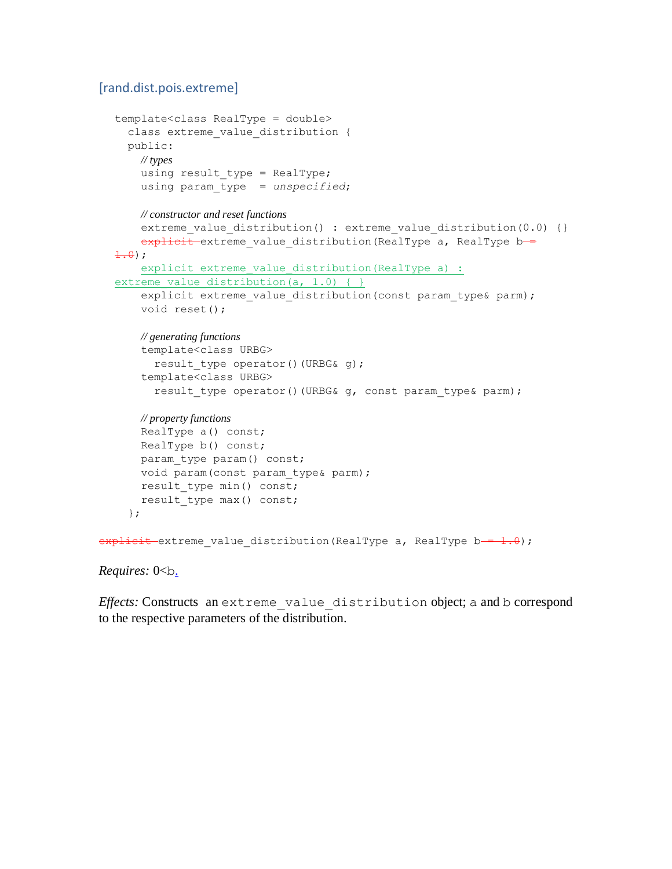### [rand.dist.pois.extreme]

```
template<class RealType = double>
    class extreme value distribution {
     public:
       // types
      using result type = RealType; using param_type = unspecified;
       // constructor and reset functions
      extreme value distribution() : extreme value distribution(0.0) {}
      explicit extreme value distribution (RealType a, RealType b =
  \pm .0);
      explicit extreme value distribution(RealType a) :
  extreme value distribution(a, 1.0) { }
      explicit extreme value distribution(const param type& parm);
       void reset();
       // generating functions
       template<class URBG>
         result type operator()(URBG& g);
       template<class URBG>
         result type operator()(URBG& g, const param type& parm);
       // property functions
       RealType a() const;
       RealType b() const;
      param type param() const;
       void param(const param_type& parm);
      result type min() const;
      result type max() const;
     };
\frac{1}{10} explicit extreme value distribution (RealType a, RealType b = 1.0);
```
### *Requires:* 0<br/>b[.](http://eel.is/c++draft/rand.dist.pois.extreme#2.sentence-1)

*Effects:* Constructs an extreme\_value\_distribution object; a and b correspond to the respective parameters of the distribution.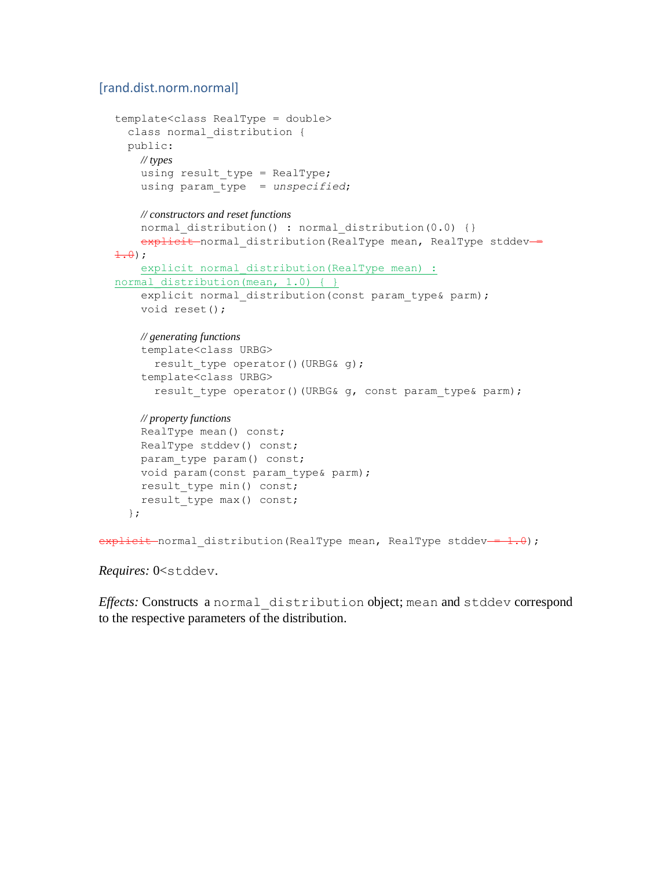### [rand.dist.norm.normal]

```
template<class RealType = double>
     class normal_distribution {
     public:
       // types
      using result type = RealType; using param_type = unspecified;
       // constructors and reset functions
      normal distribution() : normal distribution(0.0) {}
      explicit normal distribution (RealType mean, RealType stddev-
  \pm .0);
       explicit normal distribution(RealType mean) :
  normal distribution(mean, 1.0) { }
       explicit normal distribution (const param type& parm);
       void reset();
       // generating functions
        template<class URBG>
         result type operator()(URBG& g);
        template<class URBG>
         result type operator()(URBG& g, const param type& parm);
       // property functions
       RealType mean() const;
       RealType stddev() const;
      param type param() const;
       void param(const param_type& parm);
      result type min() const;
      result type max() const;
     };
e^{i\theta} = e^{i\theta} = e^{i\theta} distribution(RealType mean, RealType stddev = \theta;
```
*Requires:* 0<stddev.

*Effects:* Constructs a normal\_distribution object; mean and stddev correspond to the respective parameters of the distribution.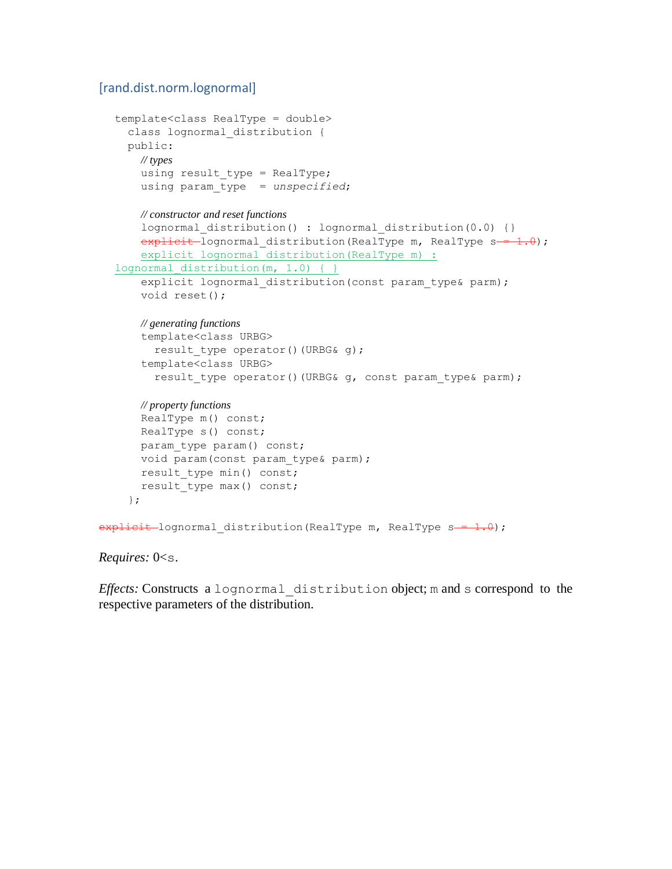### [rand.dist.norm.lognormal]

```
template<class RealType = double>
     class lognormal_distribution {
     public:
       // types
      using result type = RealType; using param_type = unspecified;
       // constructor and reset functions
      lognormal distribution() : lognormal distribution(0.0) {}
      explitzit-lognormal distribution (RealType m, RealType s = 1.0);explicit lognormal distribution(RealType m) :
  lognormal distribution(m, 1.0) { }
      explicit lognormal distribution (const param type& parm);
       void reset();
       // generating functions
       template<class URBG>
        result type operator()(URBG& g);
       template<class URBG>
         result type operator()(URBG& g, const param type& parm);
       // property functions
       RealType m() const;
       RealType s() const;
      param type param() const;
      void param (const param type& parm);
      result type min() const;
      result type max() const;
     };
\frac{1}{10} explicit lognormal distribution (RealType m, RealType s = 1.0);
```
#### *Requires:* 0<s.

*Effects:* Constructs a lognormal\_distribution object; m and s correspond to the respective parameters of the distribution.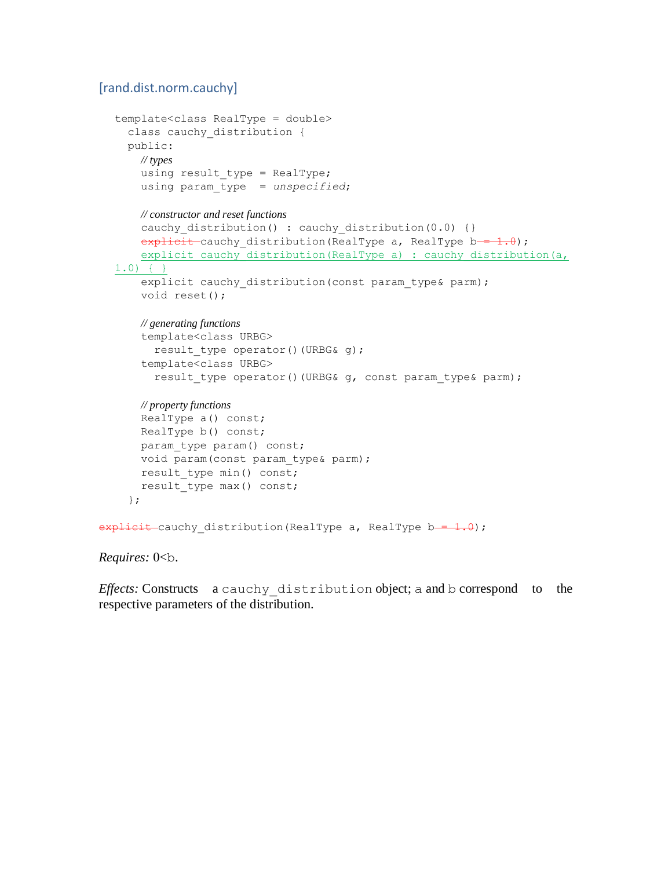### [rand.dist.norm.cauchy]

```
template<class RealType = double>
    class cauchy distribution {
     public:
       // types
      using result type = RealType; using param_type = unspecified;
       // constructor and reset functions
      cauchy distribution() : cauchy distribution(0.0) {}
      explicit cauchy distribution(RealType a, RealType b = 1.0);
      explicit cauchy distribution(RealType a) : cauchy distribution(a,
  1.0) { }
      explicit cauchy distribution(const param type& parm);
       void reset();
       // generating functions
       template<class URBG>
        result type operator()(URBG& g);
       template<class URBG>
        result type operator()(URBG& g, const param type& parm);
       // property functions
       RealType a() const;
       RealType b() const;
      param type param() const;
      void param (const param type& parm);
      result type min() const;
      result type max() const;
     };
explicit cauchy distribution(RealType a, RealType b = 1.0);
```
### *Requires:* 0<b.

*Effects:* Constructs a cauchy\_distribution object; a and b correspond to the respective parameters of the distribution.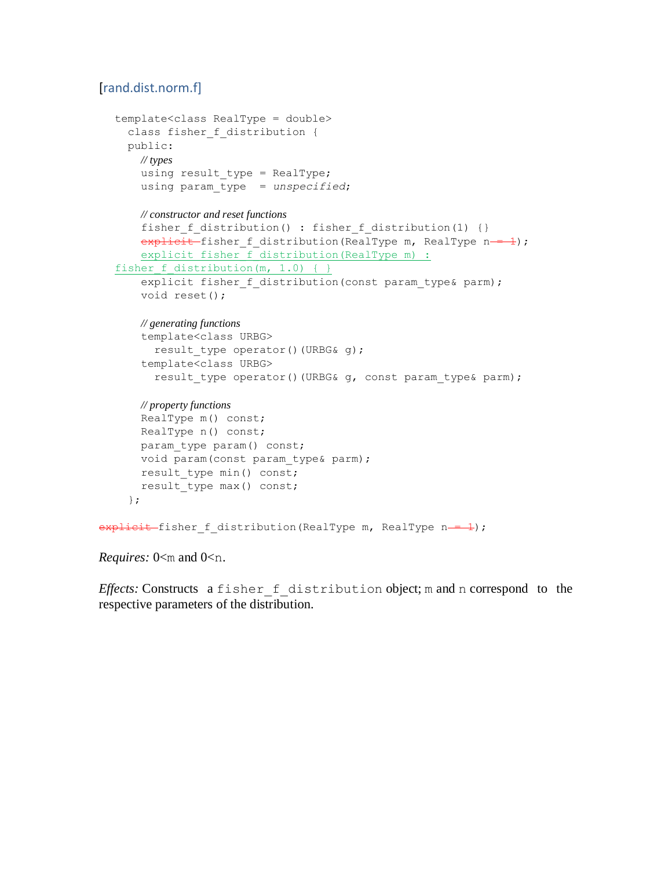# [rand.dist.norm.f]

```
template<class RealType = double>
     class fisher_f_distribution {
     public:
       // types
      using result type = RealType; using param_type = unspecified;
       // constructor and reset functions
      fisher f distribution() : fisher f distribution(1) {}
      explicit fisher f distribution(RealType m, RealType n = 1);
      explicit fisher f distribution(RealType m) :
  fisher f distribution(m, 1.0) { }
      explicit fisher f distribution(const param type& parm);
       void reset();
       // generating functions
       template<class URBG>
        result type operator()(URBG& g);
       template<class URBG>
        result type operator()(URBG& g, const param type& parm);
       // property functions
       RealType m() const;
       RealType n() const;
      param type param() const;
      void param(const param type& parm);
      result type min() const;
      result type max() const;
     };
explicit fisher_f_distribution(RealType m, RealType n--1);
```
*Requires:* 0 < m and 0 < n.

*Effects:* Constructs a fisher f distribution object; m and n correspond to the respective parameters of the distribution.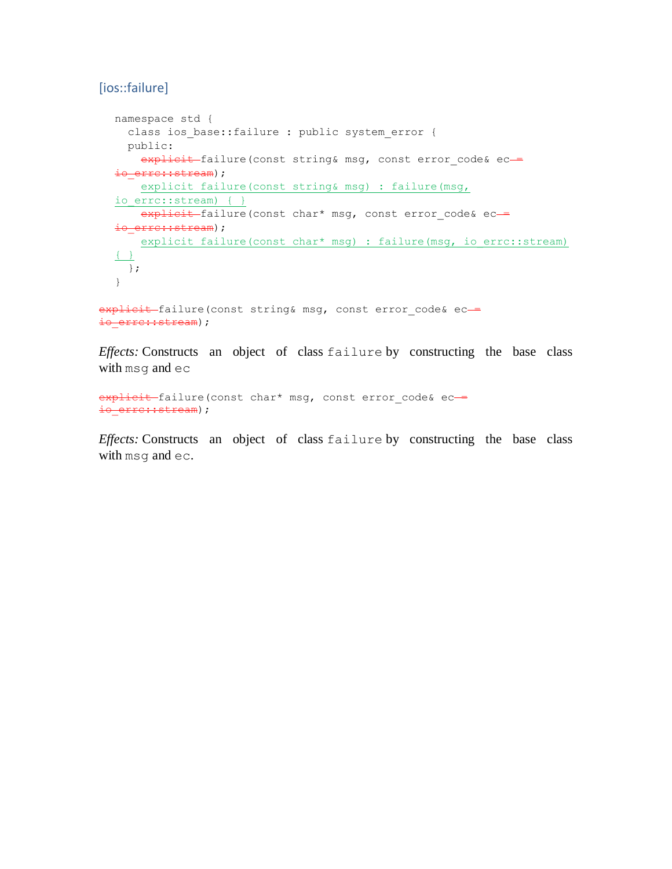# [ios::failure]

```
namespace std {
   class ios_base::failure : public system_error {
  public:
   explicit failure(const string& msg, const error_code& ec-
io erre::stream);
    explicit failure(const string& msg) : failure(msg, 
io errc::stream) { }
  explicit failure(const char* msg, const error_code& ec-
io erre::stream);
   explicit failure(const char* msg) : failure(msg, io errc::stream)
\{\ \} };
}
```
explicit failure(const string& msg, const error code& ecio erre::stream);

*Effects:* Constructs an object of class failure by constructing the base class with msg and ec

explicit failure(const char\* msq, const error code& ecio erre::stream);

*Effects:* Constructs an object of class failure by constructing the base class with msg and ec.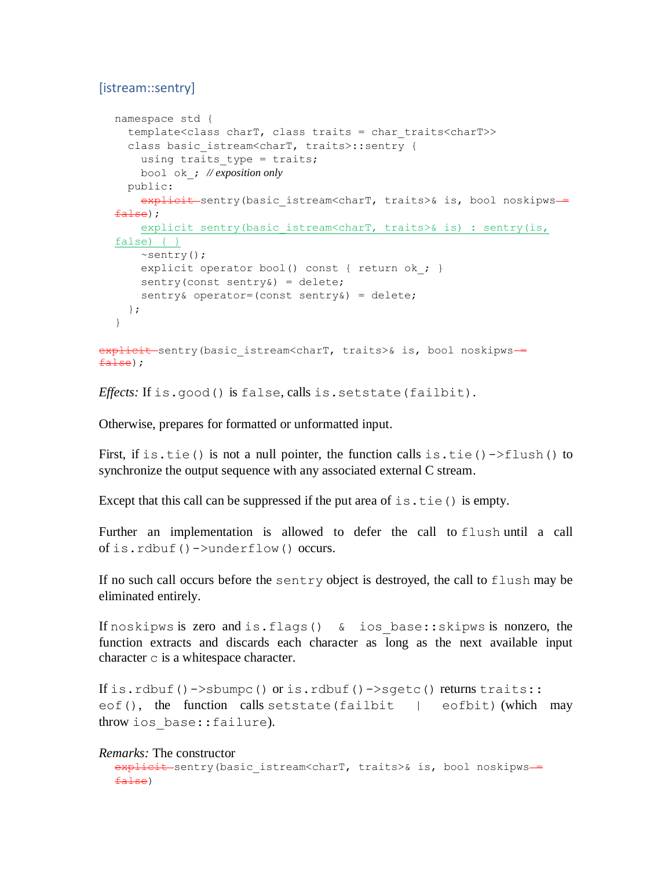# [istream::sentry]

```
namespace std {
     template<class charT, class traits = char_traits<charT>>
    class basic istream<charT, traits>::sentry {
      using traits type = traits;
       bool ok_; // exposition only
     public:
      explicit sentry(basic istream<charT, traits>& is, bool noskipws ==
  false);
       explicit sentry(basic_istream<charT, traits>& is) : sentry(is, 
  false) { }
       ~sentry();
      explicit operator bool() const { return ok ; }
      sentry(const sentry&) = delete;
      sentry& operator=(const sentry&) = delete;
     };
  }
explicit sentry(basic istream<charT, traits>& is, bool noskipws ==
false);
```
*Effects:* If is.good() is false, calls is.setstate(failbit).

Otherwise, prepares for formatted or unformatted input.

First, if is.tie() is not a null pointer, the function calls is.tie()->flush() to synchronize the output sequence with any associated external C stream.

Except that this call can be suppressed if the put area of  $is.tie()$  is empty.

Further an implementation is allowed to defer the call to flush until a call of is.rdbuf()->underflow() occurs.

If no such call occurs before the sentry object is destroyed, the call to flush may be eliminated entirely.

If noskipws is zero and is.flags() & ios\_base::skipws is nonzero, the function extracts and discards each character as long as the next available input character c is a whitespace character.

If is.rdbuf()->sbumpc() or is.rdbuf()->sgetc() returns traits:: eof(), the function calls setstate(failbit | eofbit) (which may throw ios\_base::failure).

### *Remarks:* The constructor

```
explicit sentry (basic istream<charT, traits>& is, bool noskipws ==
false)
```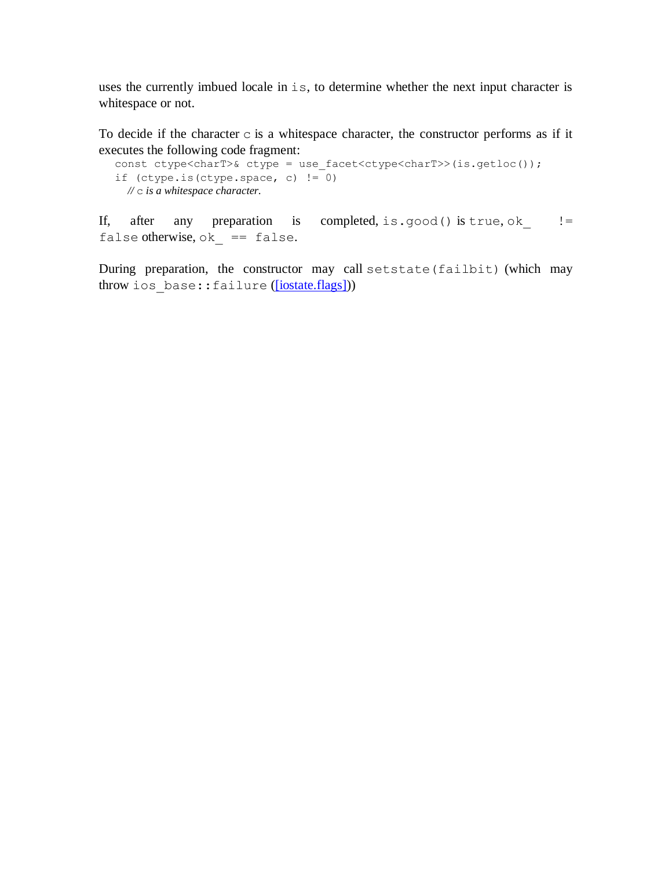uses the currently imbued locale in is, to determine whether the next input character is whitespace or not.

To decide if the character  $\sigma$  is a whitespace character, the constructor performs as if it executes the following code fragment:

```
const ctype<charT>& ctype = use facet<ctype<charT>>(is.getloc());
if (ctype.is(ctype.space, c) !=\overline{0})
  // c is a whitespace character.
```
If, after any preparation is completed, is.good() is true, ok  $!=$ false otherwise,  $ok$  == false.

During preparation, the constructor may call setstate(failbit) (which may throw ios base::failure [\(\[iostate.flags\]\)](http://eel.is/c++draft/iostate.flags))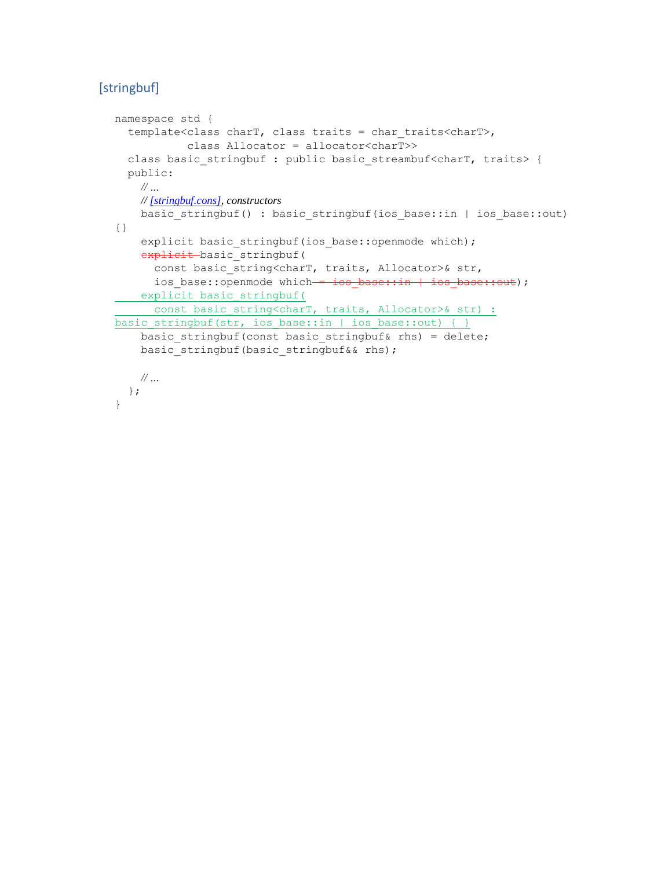# [stringbuf]

```
namespace std {
   template<class charT, class traits = char_traits<charT>,
            class Allocator = allocator<charT>>
  class basic stringbuf : public basic streambuf<charT, traits> {
   public:
    // …
    // [stringbuf.cons], constructors
    basic_stringbuf() : basic_stringbuf(ios_base::in | ios_base::out) 
{}
    explicit basic stringbuf(ios base::openmode which);
    explicit basic stringbuf(
     const basic string<charT, traits, Allocator>& str,
     ios base::openmode which = ios base::in | ios base::out);
    explicit basic_stringbuf(
   const basic_string<charT, traits, Allocator>& str) :
basic stringbuf(str, ios base::in | ios base::out) { }
   basic stringbuf(const basic stringbuf& rhs) = delete;
   basic stringbuf(basic stringbuf&& rhs);
    // …
  };
}
```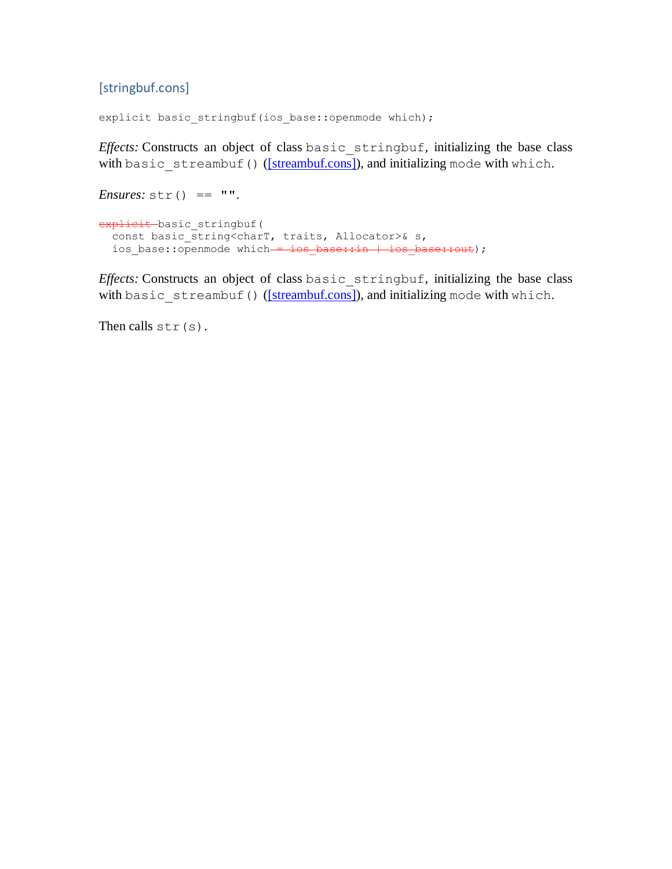# [stringbuf.cons]

explicit basic\_stringbuf(ios\_base::openmode which);

*Effects:* Constructs an object of class basic\_stringbuf, initializing the base class with basic\_streambuf() [\(\[streambuf.cons\]\)](http://eel.is/c++draft/streambuf.cons), and initializing mode with which.

```
Ensures: str() == "
```

```
explicit basic stringbuf(
 const basic_string<charT, traits, Allocator>& s,
 ios_base::openmode which - ios_base::in | ios base::out);
```
*Effects:* Constructs an object of class basic\_stringbuf, initializing the base class with basic\_streambuf() [\(\[streambuf.cons\]\)](http://eel.is/c++draft/streambuf.cons), and initializing mode with which.

Then calls  $str(s)$ .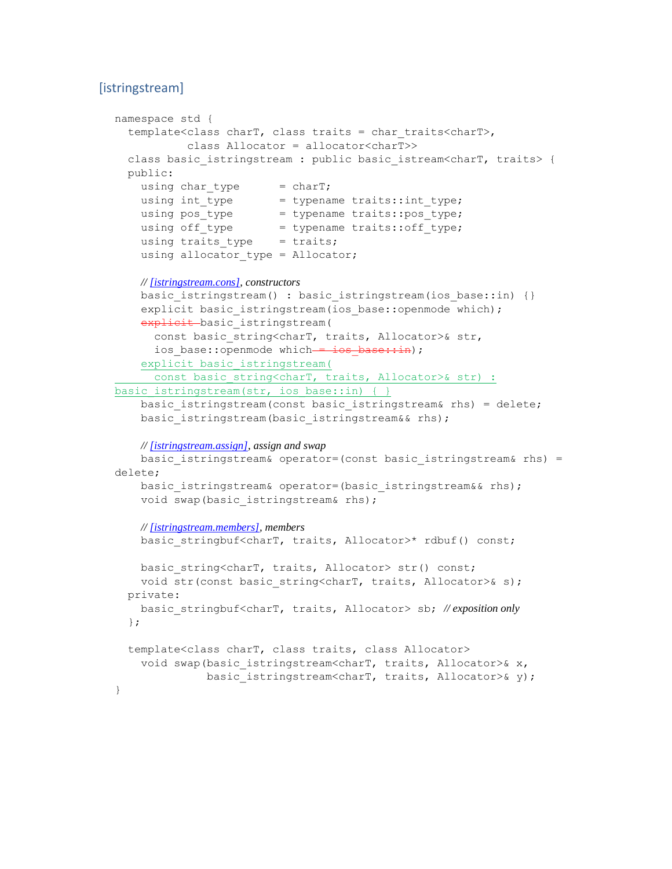# [istringstream]

```
namespace std {
   template<class charT, class traits = char_traits<charT>,
            class Allocator = allocator<charT>>
  class basic_istringstream : public basic_istream<charT, traits> {
  public:
   using char\_type = char;
   using int type = typename traits::int type;
using pos type = typename traits::pos type;
using off type = typename traits::off type;
   using traits type = traits;
   using allocator type = Allocator;
    // [istringstream.cons], constructors
   basic istringstream() : basic istringstream(ios base::in) {}
    explicit basic istringstream(ios base::openmode which);
   explicit basic istringstream(
     const basic string<charT, traits, Allocator>& str,
      ios base::openmode which - ios base::in);
     explicit basic_istringstream(
     const basic string<charT, traits, Allocator>& str) :
basic istringstream(str, ios base::in) { }
   basic istringstream(const basic istringstream& rhs) = delete;
   basic istringstream(basic istringstream&& rhs);
    // [istringstream.assign], assign and swap
   basic istringstream& operator=(const basic istringstream& rhs) =
delete;
    basic istringstream& operator=(basic istringstream&& rhs);
   void swap(basic istringstream& rhs);
    // [istringstream.members], members
   basic stringbuf<charT, traits, Allocator>* rdbuf() const;
   basic string<charT, traits, Allocator> str() const;
   void str(const basic string<charT, traits, Allocator>& s);
  private:
    basic_stringbuf<charT, traits, Allocator> sb; // exposition only
   };
   template<class charT, class traits, class Allocator>
    void swap(basic istringstream<charT, traits, Allocator>& x,
              basic istringstream<charT, traits, Allocator>& y);
}
```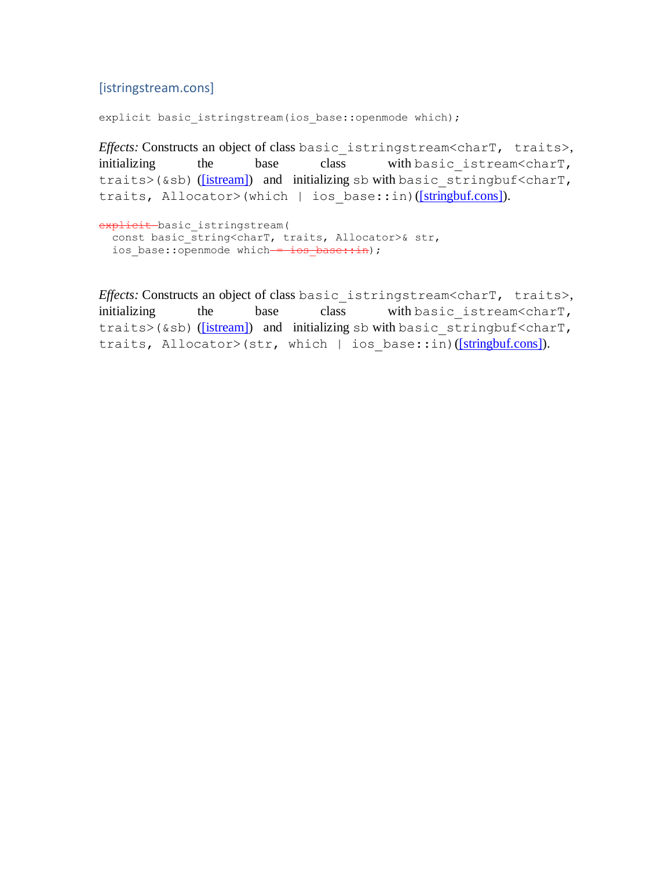### [istringstream.cons]

explicit basic\_istringstream(ios\_base::openmode which);

*Effects:* Constructs an object of class basic\_istringstream<charT, traits>, initializing the base class with basic istream<charT, traits>(&sb) [\(\[istream\]\)](http://eel.is/c++draft/istream) and initializing sb with basic stringbuf<charT, traits, Allocator>(which | ios base::in)[\(\[stringbuf.cons\]\)](http://eel.is/c++draft/stringbuf.cons).

```
explicit basic istringstream(
   const basic_string<charT, traits, Allocator>& str,
  ios base::openmode which = ios base::in);
```
*Effects:* Constructs an object of class basic istringstream<charT, traits>, initializing the base class with basic istream<charT, traits>(&sb) [\(\[istream\]\)](http://eel.is/c++draft/istream) and initializing sb with basic stringbuf<charT, traits, Allocator>(str, which | ios\_base::in)[\(\[stringbuf.cons\]\)](http://eel.is/c++draft/stringbuf.cons).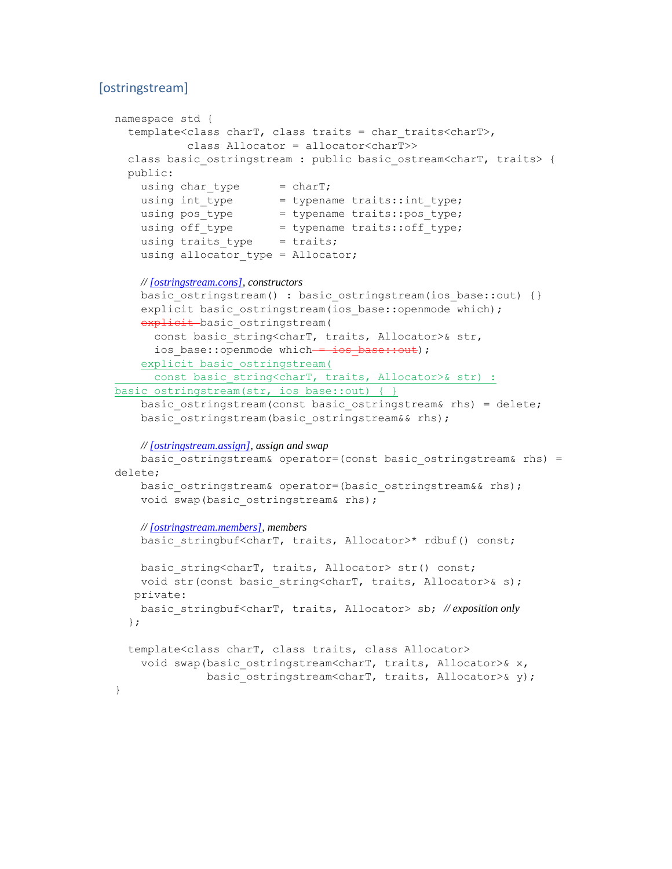# [ostringstream]

```
namespace std {
   template<class charT, class traits = char_traits<charT>,
            class Allocator = allocator<charT>>
 class basic ostringstream : public basic ostream<charT, traits> {
  public:
   using char\_type = char;
   using int type = typename traits::int type;
using pos type = typename traits::pos type;
using off type = typename traits::off type;
   using traits type = traits;
   using allocator type = Allocator;
    // [ostringstream.cons], constructors
   basic ostringstream() : basic ostringstream(ios base::out) {}
    explicit basic ostringstream(ios base::openmode which);
   explicit basic ostringstream(
     const basic string<charT, traits, Allocator>& str,
      ios base::openmode which - ios base::out);
     explicit basic_ostringstream(
     const basic string<charT, traits, Allocator>& str) :
basic ostringstream(str, ios base::out) { }
   basic ostringstream(const basic ostringstream& rhs) = delete;
   basic ostringstream(basic ostringstream&& rhs);
    // [ostringstream.assign], assign and swap
   basic ostringstream& operator=(const basic ostringstream& rhs) =
delete;
    basic ostringstream& operator=(basic ostringstream&& rhs);
   void swap(basic ostringstream& rhs);
    // [ostringstream.members], members
   basic stringbuf<charT, traits, Allocator>* rdbuf() const;
   basic string<charT, traits, Allocator> str() const;
   void str(const basic string<charT, traits, Allocator>& s);
   private:
    basic_stringbuf<charT, traits, Allocator> sb; // exposition only
   };
   template<class charT, class traits, class Allocator>
    void swap(basic ostringstream<charT, traits, Allocator>& x,
              basic ostringstream<charT, traits, Allocator>& y);
}
```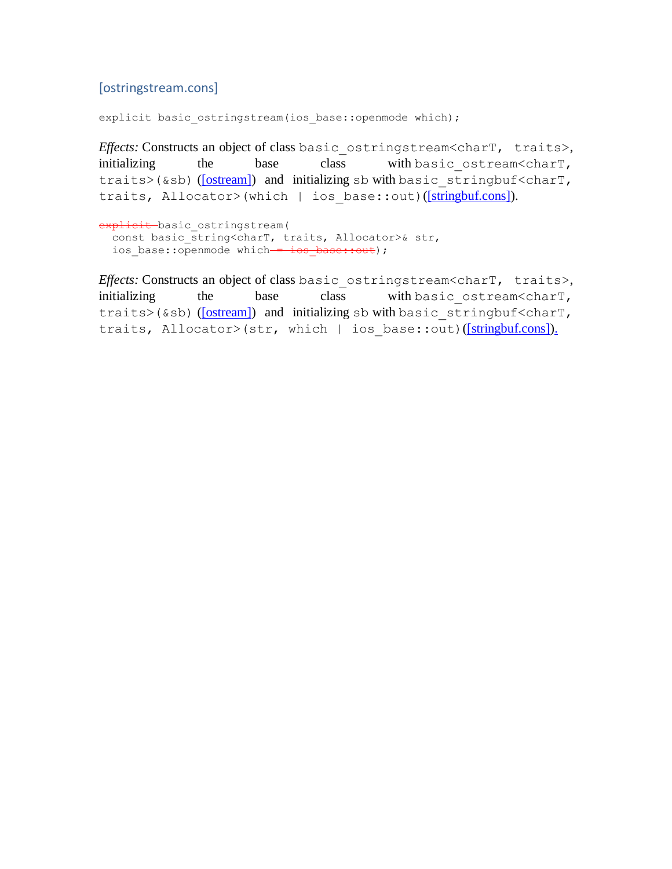# [ostringstream.cons]

explicit basic\_ostringstream(ios\_base::openmode which);

*Effects:* Constructs an object of class basic\_ostringstream<charT, traits>, initializing the base class with basic\_ostream<charT, traits>(&sb) [\(\[ostream\]\)](http://eel.is/c++draft/ostream) and initializing sb with basic stringbuf<charT, traits, Allocator>(which | ios base::out)[\(\[stringbuf.cons\]\)](http://eel.is/c++draft/stringbuf.cons).

```
explicit basic ostringstream(
 const basic_string<charT, traits, Allocator>& str,
 ios base::openmode which - ios base::out);
```
*Effects:* Constructs an object of class basic ostringstream<charT, traits>, initializing the base class with basic ostream<charT, traits>(&sb) [\(\[ostream\]\)](http://eel.is/c++draft/ostream) and initializing sb with basic stringbuf<charT, traits, Allocator>(str, which | ios base::out)[\(\[stringbuf.cons\]\)](http://eel.is/c++draft/stringbuf.cons).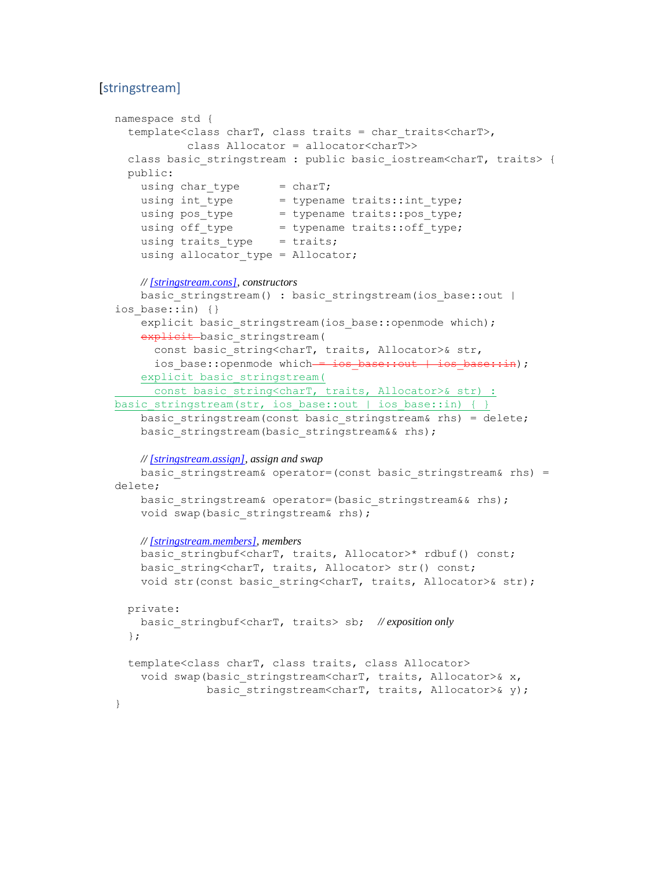### [stringstream]

```
namespace std {
   template<class charT, class traits = char_traits<charT>,
            class Allocator = allocator<charT>>
 class basic stringstream : public basic iostream<charT, traits> {
  public:
   using char\_type = char7;using int type = typename traits::int type;
using pos type = typename traits::pos type;
using off type = typename traits::off type;
   using traits type = traits;
   using allocator type = Allocator;
    // [stringstream.cons], constructors
   basic stringstream() : basic stringstream(ios base::out |
ios base::in) {}
    explicit basic stringstream(ios base::openmode which);
   explicit basic stringstream(
     const basic string<charT, traits, Allocator>& str,
      ios base::openmode which = ios base::out | ios base::in);
     explicit basic_stringstream(
     const basic string<charT, traits, Allocator>& str) :
basic stringstream(str, ios base::out | ios base::in) { }
    basic_stringstream(const basic_stringstream& rhs) = delete;
   basic stringstream(basic stringstream&& rhs);
    // [stringstream.assign], assign and swap
   basic stringstream& operator=(const basic stringstream& rhs) =
delete;
   basic stringstream& operator=(basic stringstream&& rhs);
   void swap(basic stringstream& rhs);
    // [stringstream.members], members
   basic stringbuf<charT, traits, Allocator>* rdbuf() const;
   basic string<charT, traits, Allocator> str() const;
   void str(const basic string<charT, traits, Allocator>& str);
  private:
    basic_stringbuf<charT, traits> sb; // exposition only
   };
   template<class charT, class traits, class Allocator>
    void swap(basic stringstream<charT, traits, Allocator>& x,
              basic stringstream<charT, traits, Allocator>& y);
}
```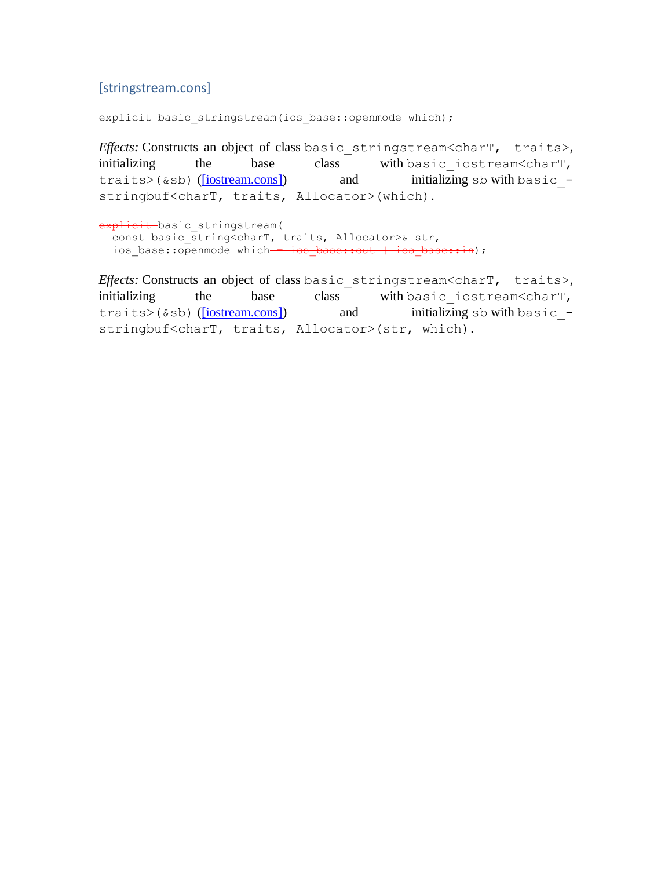### [stringstream.cons]

explicit basic stringstream(ios base::openmode which);

*Effects:* Constructs an object of class basic stringstream<charT, traits>, initializing the base class with basic iostream<charT, traits>(&sb) [\(\[iostream.cons\]\)](http://eel.is/c++draft/iostream.cons) and initializing sb with basic stringbuf<charT, traits, Allocator>(which).

```
explicit basic stringstream(
 const basic string<charT, traits, Allocator>& str,
 ios base::openmode which = ios base::out | ios base::in);
```
*Effects:* Constructs an object of class basic stringstream<charT, traits>, initializing the base class with basic iostream<charT, traits>(&sb) [\(\[iostream.cons\]\)](http://eel.is/c++draft/iostream.cons) and initializing sb with basic stringbuf<charT, traits, Allocator>(str, which).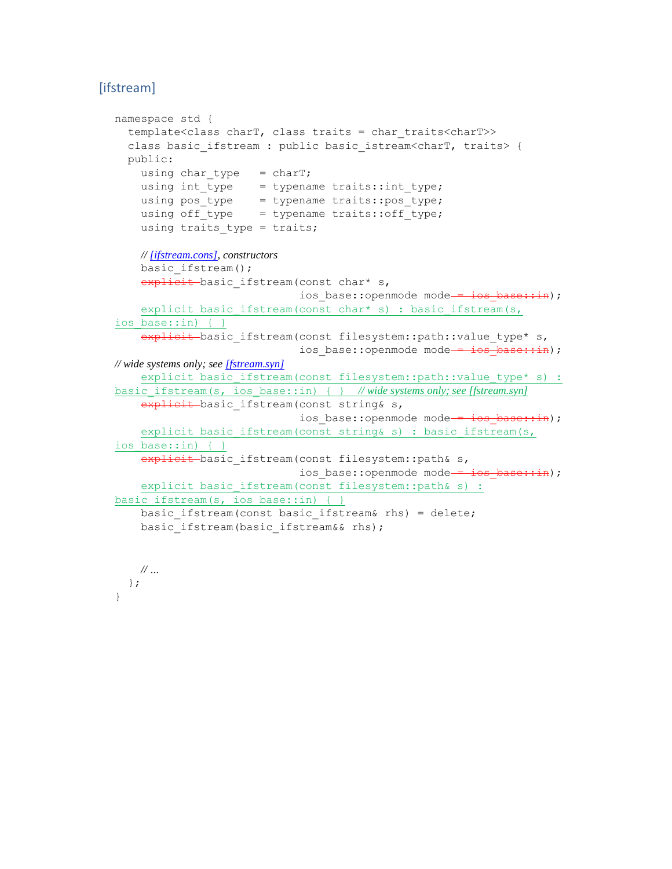# [ifstream]

 *// …* }; }

```
namespace std {
   template<class charT, class traits = char_traits<charT>>
  class basic ifstream : public basic istream<charT, traits> {
   public:
    using char type = charT;
     using int_type = typename traits::int_type;
    using pos type = typename traits::pos type;
    using off type = typename traits::off type;
    using traits type = traits;
    // [ifstream.cons], constructors
     basic_ifstream();
    explicit basic ifstream(const char* s,
                             ios base::openmode mode = ios base::in);
    explicit basic ifstream(const char* s) : basic ifstream(s,
ios base::in) { }
   explicit basic ifstream(const filesystem::path::value type* s,
                             ios base::openmode mode = ios base::in);
// wide systems only; see [fstream.syn]
    explicit basic ifstream(const filesystem::path::value type* s) :
basic_ifstream(s, ios_base::in) { } // wide systems only; see [fstream.syn]
    explicit basic ifstream(const string& s,
                             ios base::openmode mode - ios base::in);
    explicit basic ifstream(const string& s) : basic ifstream(s,
ios base::in) { }
    explicit basic ifstream(const filesystem::path& s,
                            ios base::openmode mode = ios_base::in);
    explicit basic ifstream(const filesystem::path& s) :
basic ifstream(s, ios base::in) { }
    basic ifstream(const basic ifstream& rhs) = delete;
    basic ifstream(basic ifstream&& rhs);
```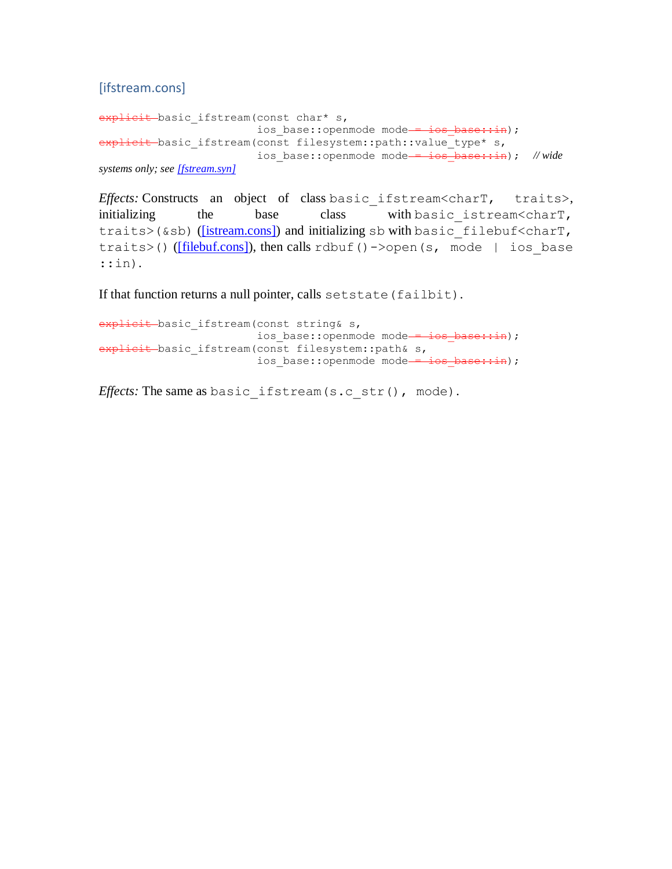[ifstream.cons]

```
explicit basic ifstream(const char* s,
                         ios base::openmode mode = ios base::in);
explicit basic_ifstream(const filesystem::path::value_type* s,
                         ios base::openmode mode = ios base::in); // wide
systems only; see [fstream.syn]
```
*Effects:* Constructs an object of class basic\_ifstream<charT, traits>, initializing the base class with basic istream<charT, traits>(&sb) [\(\[istream.cons\]\)](http://eel.is/c++draft/istream.cons) and initializing sb with basic filebuf<charT, traits>() ( $[filebutcons]$ ), then calls rdbuf()->open(s, mode | ios base ::in).

If that function returns a null pointer, calls setstate (failbit).

explicit basic ifstream(const string& s, ios base::openmode mode = ios base::in); explicit basic ifstream(const filesystem::path& s, ios\_base::openmode mode - ios base::in);

*Effects:* The same as basic\_ifstream(s.c\_str(), mode).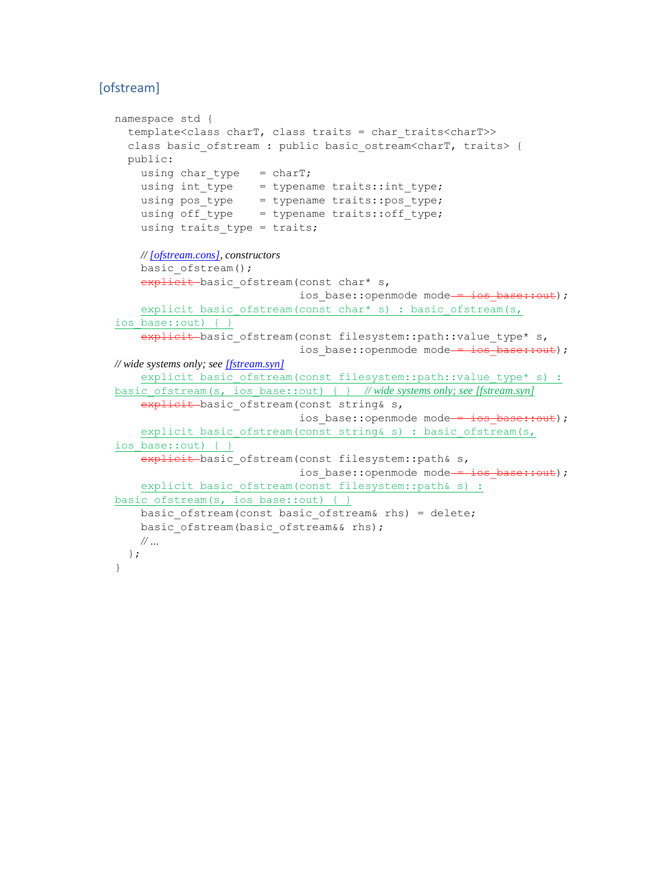# [ofstream]

```
namespace std {
   template<class charT, class traits = char_traits<charT>>
  class basic ofstream : public basic ostream<charT, traits> {
   public:
    using char type = charT;
   using int_type = typename traits::int_type;
    using pos type = typename traits::pos type;
    using off type = typename traits::off type;
    using traits type = traits;
    // [ofstream.cons], constructors
    basic ofstream();
    explicit basic ofstream(const char* s,
                             ios base::openmode mode = ios base::out);
    explicit basic ofstream(const char* s) : basic ofstream(s,
ios base::out) { }
   explicit basic ofstream(const filesystem::path::value type* s,
                             ios base::openmode mode = ios base::out);
// wide systems only; see [fstream.syn]
    explicit basic ofstream(const filesystem::path::value type* s) :
basic_ofstream(s, ios_base::out) { } // wide systems only; see [fstream.syn]
    explicit basic ofstream(const string& s,
                             ios base::openmode mode = ios base::out);
    explicit basic ofstream(const string& s) : basic ofstream(s,
ios base::out) { }
    explicit basic ofstream(const filesystem::path& s,
                            ios base::openmode mode = ios_base::out);
    explicit basic ofstream(const filesystem::path& s) :
basic ofstream(s, ios base::out) { }
   basic ofstream(const basic ofstream& rhs) = delete;
    basic ofstream(basic ofstream&& rhs);
    // …
   };
}
```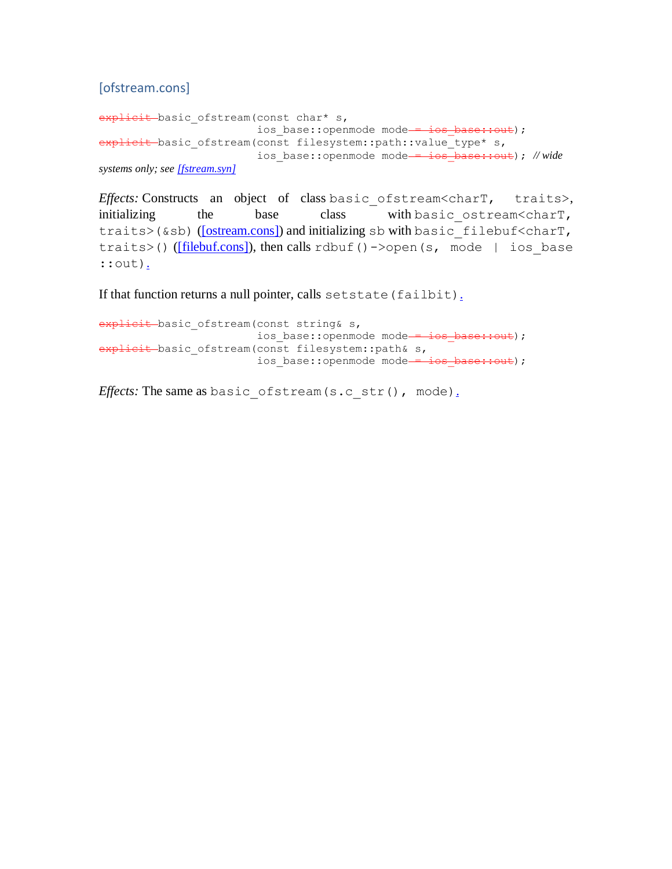[ofstream.cons]

```
explicit basic ofstream(const char* s,
                         ios base::openmode mode = ios base::out);
explicit basic_ofstream(const filesystem::path::value_type* s,
                         ios base::openmode mode = ios base::out); // wide
systems only; see [fstream.syn]
```
*Effects:* Constructs an object of class basic\_ofstream<charT, traits>, initializing the base class with basic ostream<charT, traits>(&sb) [\(\[ostream.cons\]\)](http://eel.is/c++draft/ostream.cons) and initializing sb with basic filebuf<charT, traits>() [\(\[filebuf.cons\]\)](http://eel.is/c++draft/filebuf.cons), then calls rdbuf()->open(s, mode | ios base ::out).

If that function returns a null pointer, calls setstate (failbit).

explicit basic ofstream(const string& s, ios base::openmode mode = ios base::out); explicit basic ofstream(const filesystem::path& s, ios base::openmode mode = ios base::out);

*Effects:* The same as basic\_ofstream(s.c\_str(), mode).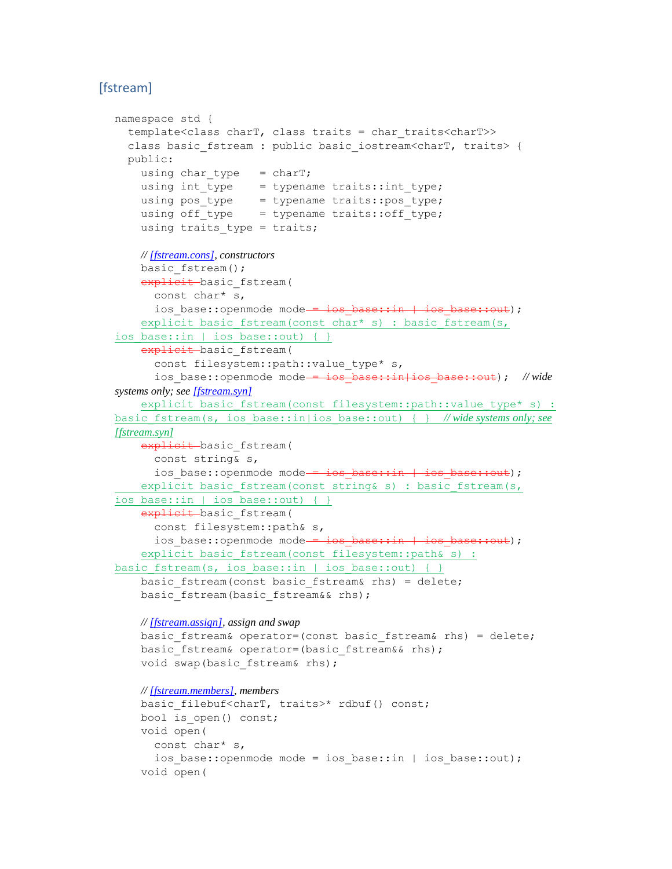# [fstream]

```
namespace std {
   template<class charT, class traits = char_traits<charT>>
 class basic fstream : public basic iostream<charT, traits> {
  public:
    using char type = charT;
     using int_type = typename traits::int_type;
   using pos type = typename traits::pos type;
   using off type = typename traits::off type;
   using traits type = traits;
    // [fstream.cons], constructors
   basic fstream();
   explicit basic fstream(
       const char* s,
      ios base::openmode mode = ios base::in | ios base::out);
    explicit basic fstream(const char* s) : basic fstream(s,
ios base::in | ios base::out) { }
   explicit basic fstream(
      const filesystem::path::value type* s,
      ios_base::openmode mode = ios base::in|ios base::out); // wide
systems only; see [fstream.syn]
    explicit basic fstream(const filesystem::path::value type* s) :
basic_fstream(s, ios_base::in|ios_base::out) { } // wide systems only; see 
[fstream.syn]
    explicit basic fstream(
       const string& s,
      ios base::openmode mode = ios base::in | ios base::out);
   explicit basic fstream(const string& s) : basic fstream(s,
ios base::in | ios base::out) { }
   explicit basic fstream(
       const filesystem::path& s,
      ios base::openmode mode = ios base::in | ios base::out);
    explicit basic fstream(const filesystem::path& s) :
basic_fstream(s, ios_base::in | ios_base::out) { }
    basic fstream(const basic fstream& rhs) = delete;
   basic fstream(basic fstream&& rhs);
    // [fstream.assign], assign and swap
    basic fstream& operator=(const basic fstream& rhs) = delete;
    basic fstream& operator=(basic fstream&& rhs);
     void swap(basic_fstream& rhs);
    // [fstream.members], members
    basic filebuf<charT, traits>* rdbuf() const;
    bool is open() const;
     void open(
       const char* s,
      ios base::openmode mode = ios base::in | ios base::out);
     void open(
```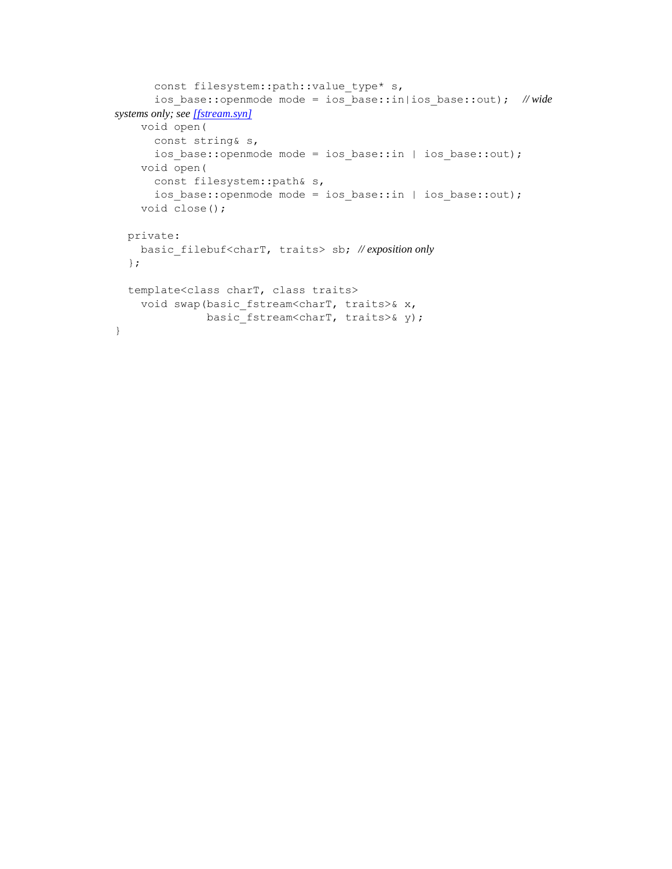```
 const filesystem::path::value_type* s,
       ios_base::openmode mode = ios_base::in|ios_base::out); // wide 
systems only; see [fstream.syn]
     void open(
       const string& s,
      ios base::openmode mode = ios base::in | ios base::out);
     void open(
      const filesystem::path& s,
       ios_base::openmode mode = ios_base::in | ios_base::out);
     void close();
   private:
     basic_filebuf<charT, traits> sb; // exposition only
   };
   template<class charT, class traits>
    void swap(basic fstream<charT, traits>& x,
              basic fstream<charT, traits>& y);
}
```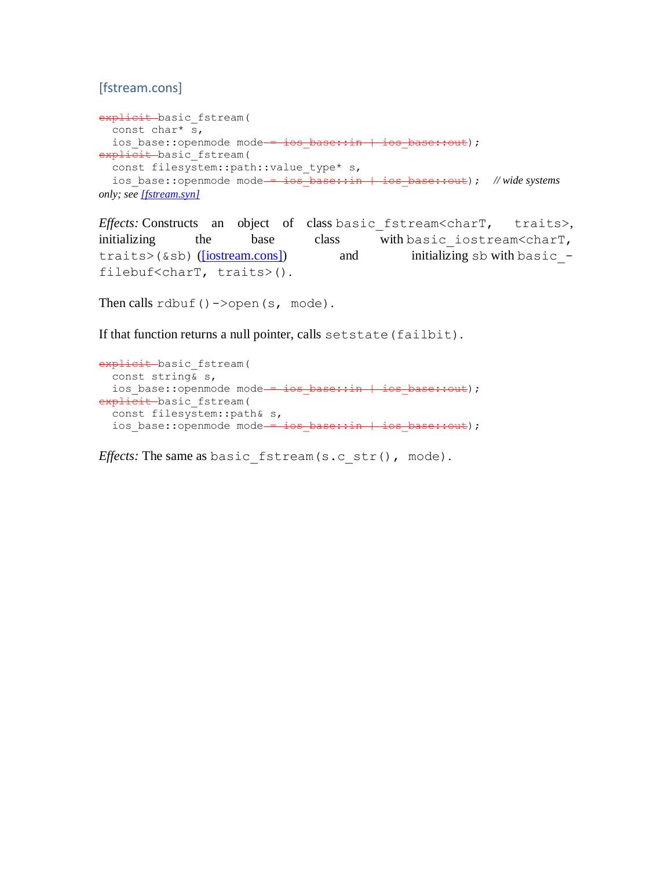# [fstream.cons]

```
explicit basic fstream(
  const char* s,
 ios_base::openmode mode - ios_base::in | ios_base::out);
explicit basic fstream(
  const filesystem::path::value type* s,
  ios base::openmode mode = ios base::in | ios base::out); // wide systems
only; see [fstream.syn]
```
*Effects:* Constructs an object of class basic\_fstream<charT, traits>, initializing the base class with basic iostream<charT, traits>(&sb) [\(\[iostream.cons\]\)](http://eel.is/c++draft/iostream.cons) and initializing sb with basic filebuf<charT, traits>().

Then calls  $rdbuf() \rightarrow \text{open}(s, \text{mode}).$ 

If that function returns a null pointer, calls setstate (failbit).

```
explicit basic fstream(
  const string& s,
 ios base::openmode mode = ios base::in | ios base::out);
explicit basic fstream(
 const filesystem::path& s,
 ios base::openmode mode = ios base::in | ios base::out);
```
*Effects:* The same as basic fstream(s.c str(), mode).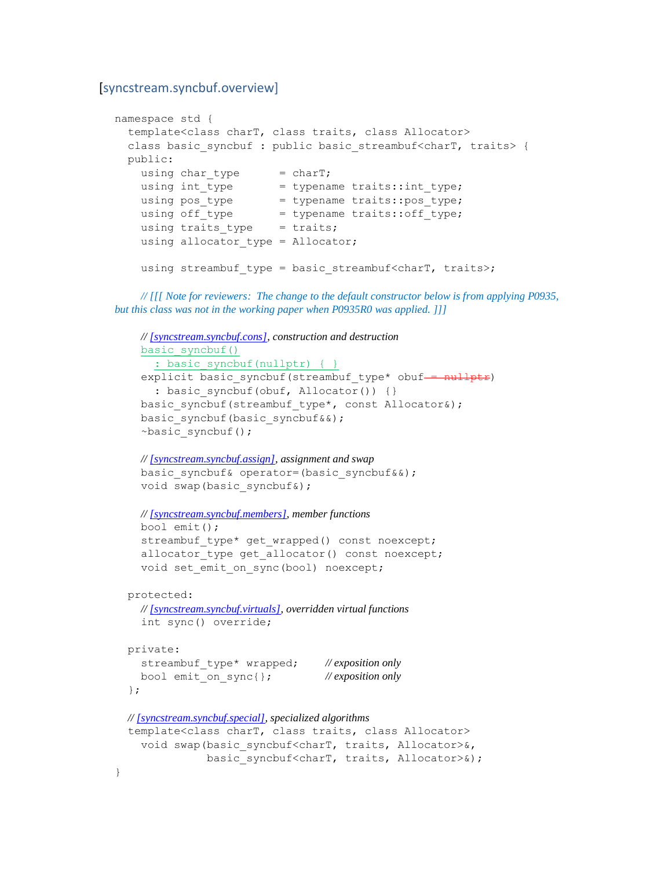#### [syncstream.syncbuf.overview]

}

```
namespace std {
  template<class charT, class traits, class Allocator>
 class basic syncbuf : public basic streambuf<charT, traits> {
  public:
   using char type = charT;
   using int_type = typename trainstyle_type;
   using pos type = typename traits::pos type;
using off type = typename traits::off type;
using traits type = traits;
   using allocator type = Allocator;
   using streambuf type = basic streambuf<charT, traits>;
```
 *// [[[ Note for reviewers: The change to the default constructor below is from applying P0935, but this class was not in the working paper when P0935R0 was applied. ]]]*

```
 // [syncstream.syncbuf.cons], construction and destruction
   basic_syncbuf()
    : basic syncbuf(nullptr) { }
  explicit basic syncbuf(streambuf type* obuf = nullptr)
    : basic syncbuf(obuf, Allocator()) {}
  basic syncbuf(streambuf type*, const Allocator&);
  basic syncbuf(basic syncbuf&&);
  \simbasic syncbuf();
   // [syncstream.syncbuf.assign], assignment and swap
  basic syncbuf& operator=(basic syncbuf&&);
  void swap(basic syncbuf&);
   // [syncstream.syncbuf.members], member functions
   bool emit();
  streambuf type* get wrapped() const noexcept;
  allocator type get allocator() const noexcept;
  void set emit on sync(bool) noexcept;
 protected:
   // [syncstream.syncbuf.virtuals], overridden virtual functions
   int sync() override;
private:
   streambuf_type* wrapped; // exposition only
   bool emit_on_sync{}; // exposition only
 };
 // [syncstream.syncbuf.special], specialized algorithms
 template<class charT, class traits, class Allocator>
  void swap(basic syncbuf<charT, traits, Allocator>&,
             basic syncbuf<charT, traits, Allocator>&);
```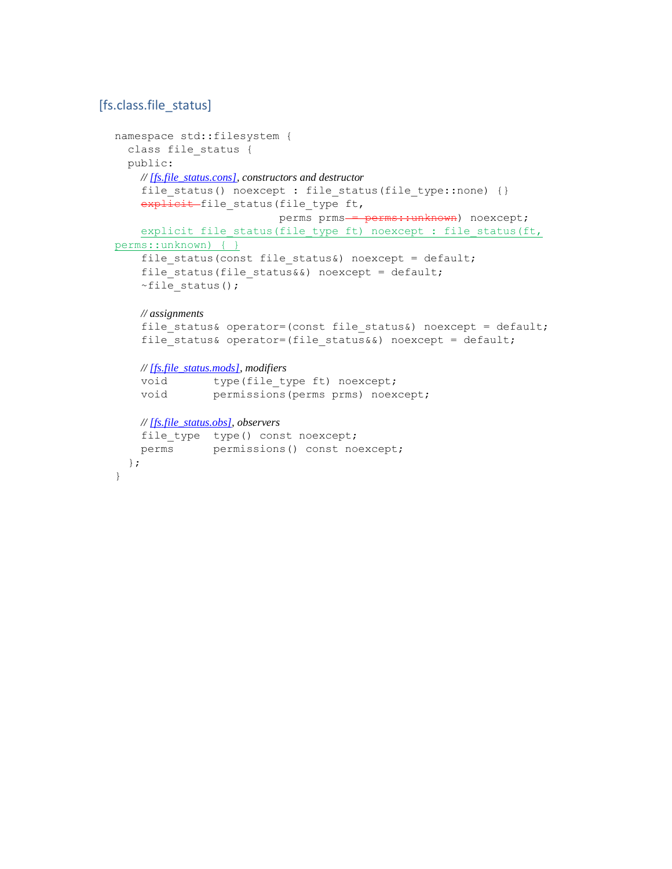### [fs.class.file\_status]

```
namespace std::filesystem {
  class file status {
   public:
     // [fs.file_status.cons], constructors and destructor
    file status() noexcept : file status(file_type::none) {}
    explicit file_status(file_type ft,
                          perms prms - perms:: unknown) noexcept;
    explicit file status(file type ft) noexcept : file status(ft,
perms::unknown) { }
    file status(const file status&) noexcept = default;
    file status(file status&&) noexcept = default;
    ~-file status();
     // assignments
    file status& operator=(const file status&) noexcept = default;
    file status& operator=(file status&&) noexcept = default;
     // [fs.file_status.mods], modifiers
    void type(file type ft) noexcept;
     void permissions(perms prms) noexcept;
     // [fs.file_status.obs], observers
    file type type() const noexcept;
     perms permissions() const noexcept;
   };
}
```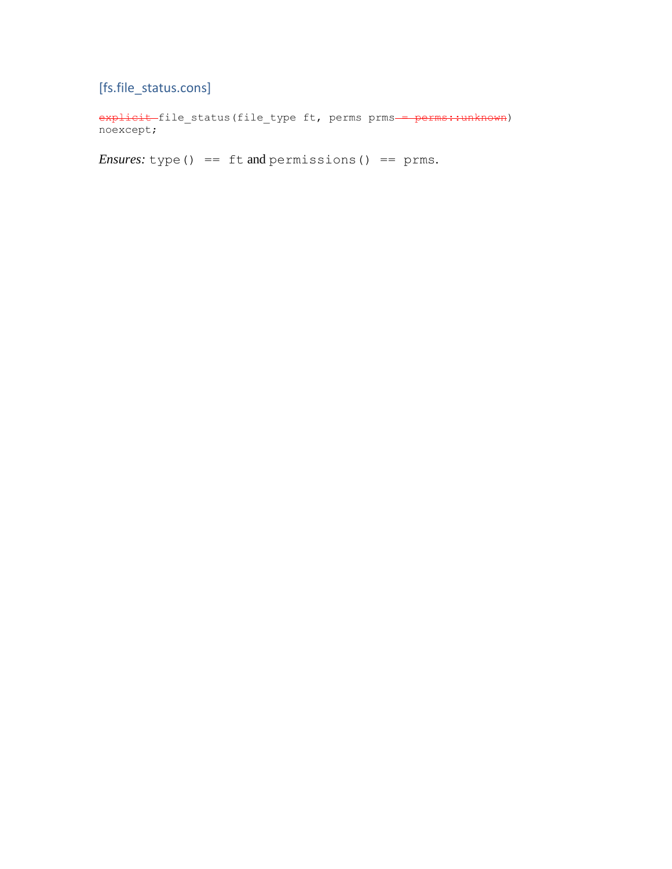[fs.file\_status.cons]

explicit file status(file type ft, perms prms = perms::unknown) noexcept;

*Ensures:* type() == ft and permissions() == prms.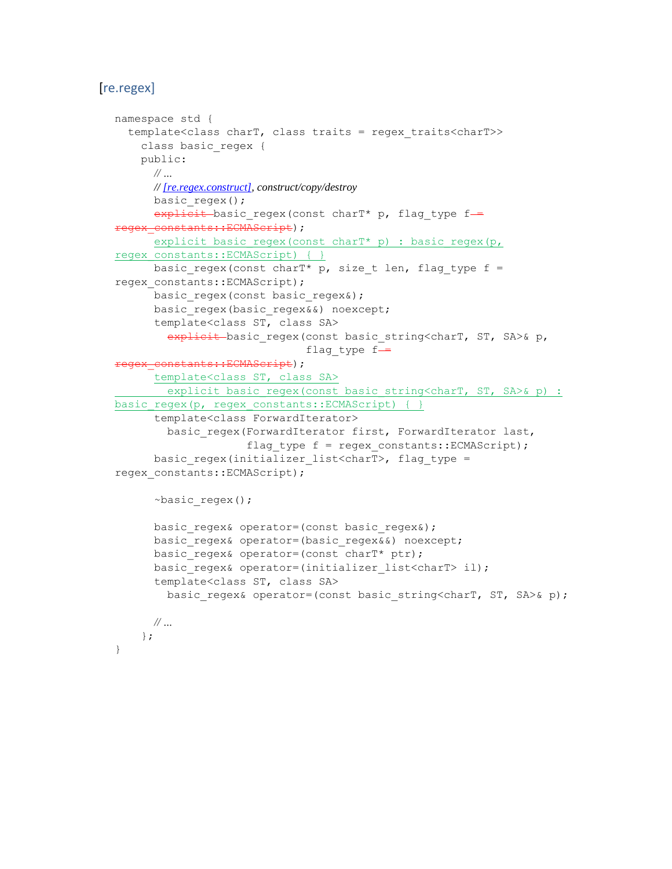### [re.regex]

```
namespace std {
   template<class charT, class traits = regex_traits<charT>>
     class basic_regex {
    public:
      // …
       // [re.regex.construct], construct/copy/destroy
       basic_regex();
      explicit basic regex (const charT* p, flag type f =egex_constants::ECMAScript);
     explicit basic regex(const charT* p) : basic regex(p,
regex_constants::ECMAScript) { }
      basic regex(const charT* p, size t len, flag type f =
regex_constants::ECMAScript);
      basic regex(const basic regex&);
      basic regex(basic regex&&) noexcept;
       template<class ST, class SA>
        explicit basic regex(const basic string<charT, ST, SA>& p,
                              flag type f =regex_constants::ECMAScript);
       template<class ST, class SA>
      explicit basic regex(const basic string<charT, ST, SA>& p) :
basic regex(p, regex constants::ECMAScript) { }
       template<class ForwardIterator>
        basic regex(ForwardIterator first, ForwardIterator last,
                     flag type f = \text{regex} \text{ constants::ECMAScript};
      basic regex(initializer list<charT>, flag type =
regex_constants::ECMAScript);
       ~basic_regex();
      basic regex& operator=(const basic regex&);
      basic regex& operator=(basic regex&&) noexcept;
      basic regex& operator=(const charT* ptr);
      basic regex& operator=(initializer list<charT> il);
       template<class ST, class SA>
        basic regex& operator=(const basic string<charT, ST, SA>& p);
      // …
     };
}
```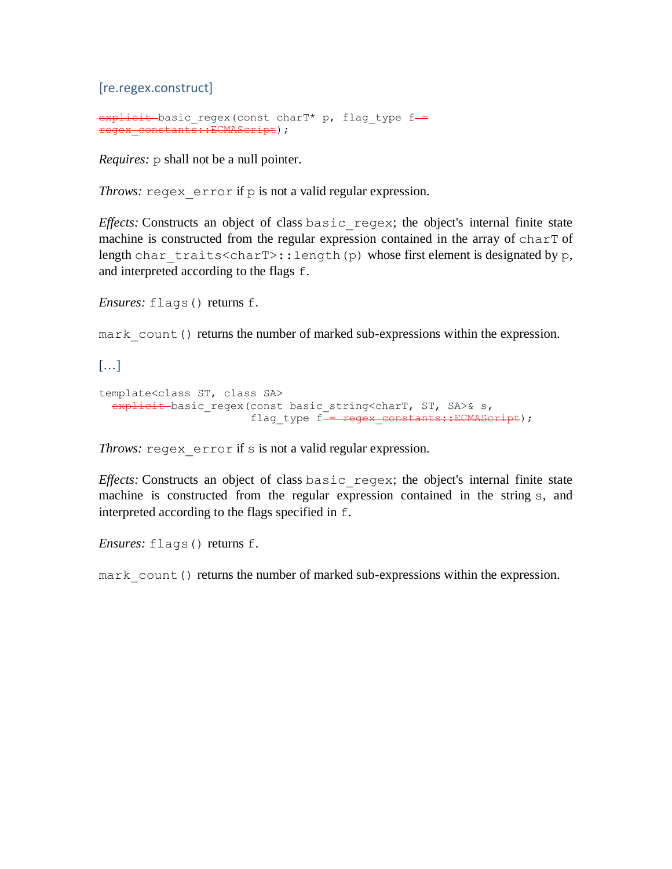[re.regex.construct]

```
explicit basic regex(const charT* p, flag type f-
regex_constants::ECMAScript);
```
*Requires:*  $p$  shall not be a null pointer.

*Throws:* regex error if p is not a valid regular expression.

*Effects:* Constructs an object of class basic regex; the object's internal finite state machine is constructed from the regular expression contained in the array of charT of length char traits<charT>::length(p) whose first element is designated by p, and interpreted according to the flags f.

*Ensures:* flags() returns f.

mark count () returns the number of marked sub-expressions within the expression.

[…]

```
template<class ST, class SA>
  explicit basic regex (const basic string<charT, ST, SA>& s,
                       flag type f- regex constants::ECMAScript);
```
*Throws:* regex error if s is not a valid regular expression.

*Effects:* Constructs an object of class basic regex; the object's internal finite state machine is constructed from the regular expression contained in the string s, and interpreted according to the flags specified in f.

*Ensures:* flags() returns f.

mark count () returns the number of marked sub-expressions within the expression.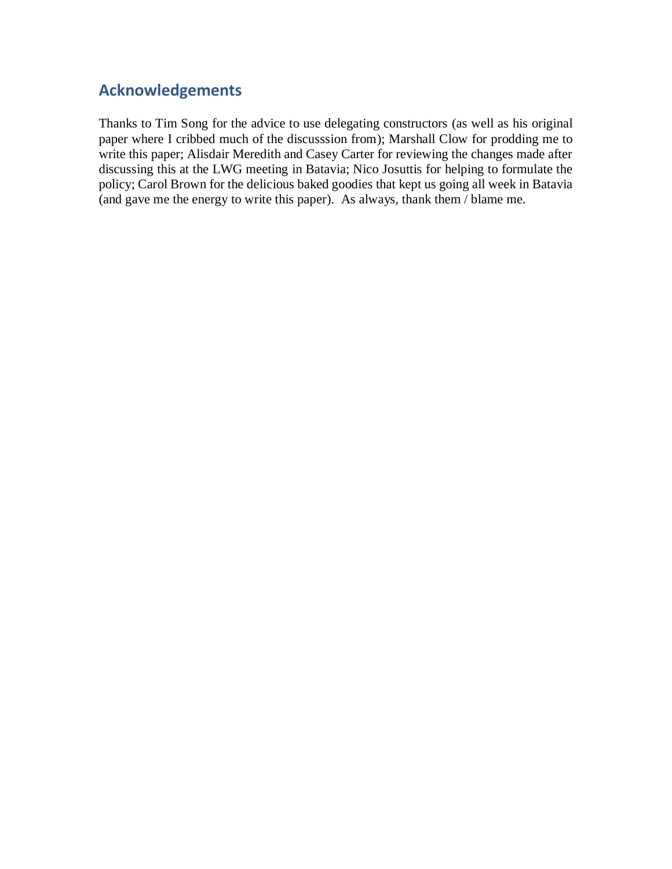## **Acknowledgements**

Thanks to Tim Song for the advice to use delegating constructors (as well as his original paper where I cribbed much of the discusssion from); Marshall Clow for prodding me to write this paper; Alisdair Meredith and Casey Carter for reviewing the changes made after discussing this at the LWG meeting in Batavia; Nico Josuttis for helping to formulate the policy; Carol Brown for the delicious baked goodies that kept us going all week in Batavia (and gave me the energy to write this paper). As always, thank them / blame me.